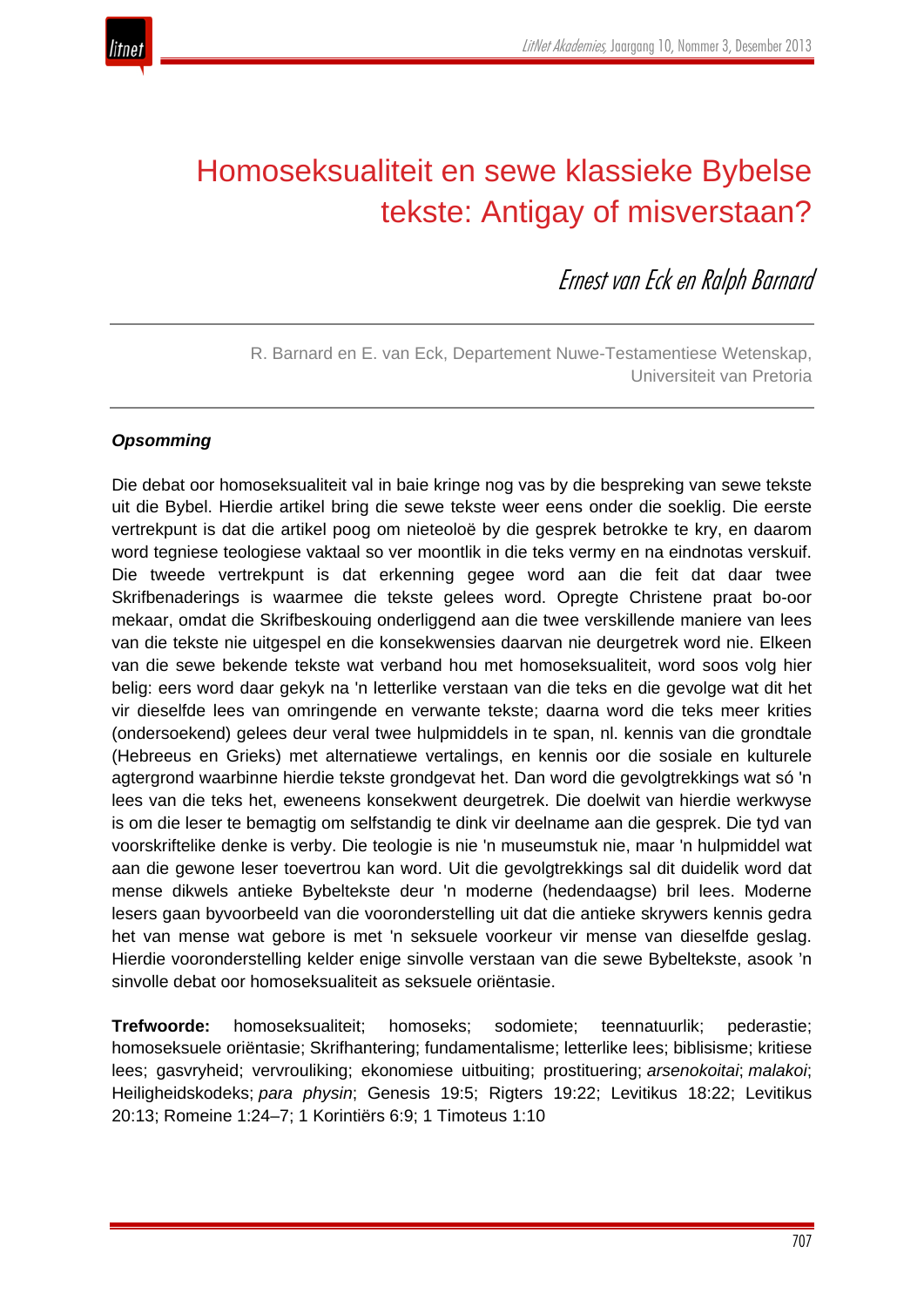

# Homoseksualiteit en sewe klassieke Bybelse tekste: Antigay of misverstaan?

Ernest van Eck en Ralph Barnard

R. Barnard en E. van Eck, Departement Nuwe-Testamentiese Wetenskap, Universiteit van Pretoria

# *Opsomming*

Die debat oor homoseksualiteit val in baie kringe nog vas by die bespreking van sewe tekste uit die Bybel. Hierdie artikel bring die sewe tekste weer eens onder die soeklig. Die eerste vertrekpunt is dat die artikel poog om nieteoloë by die gesprek betrokke te kry, en daarom word tegniese teologiese vaktaal so ver moontlik in die teks vermy en na eindnotas verskuif. Die tweede vertrekpunt is dat erkenning gegee word aan die feit dat daar twee Skrifbenaderings is waarmee die tekste gelees word. Opregte Christene praat bo-oor mekaar, omdat die Skrifbeskouing onderliggend aan die twee verskillende maniere van lees van die tekste nie uitgespel en die konsekwensies daarvan nie deurgetrek word nie. Elkeen van die sewe bekende tekste wat verband hou met homoseksualiteit, word soos volg hier belig: eers word daar gekyk na 'n letterlike verstaan van die teks en die gevolge wat dit het vir dieselfde lees van omringende en verwante tekste; daarna word die teks meer krities (ondersoekend) gelees deur veral twee hulpmiddels in te span, nl. kennis van die grondtale (Hebreeus en Grieks) met alternatiewe vertalings, en kennis oor die sosiale en kulturele agtergrond waarbinne hierdie tekste grondgevat het. Dan word die gevolgtrekkings wat só 'n lees van die teks het, eweneens konsekwent deurgetrek. Die doelwit van hierdie werkwyse is om die leser te bemagtig om selfstandig te dink vir deelname aan die gesprek. Die tyd van voorskriftelike denke is verby. Die teologie is nie 'n museumstuk nie, maar 'n hulpmiddel wat aan die gewone leser toevertrou kan word. Uit die gevolgtrekkings sal dit duidelik word dat mense dikwels antieke Bybeltekste deur 'n moderne (hedendaagse) bril lees. Moderne lesers gaan byvoorbeeld van die vooronderstelling uit dat die antieke skrywers kennis gedra het van mense wat gebore is met 'n seksuele voorkeur vir mense van dieselfde geslag. Hierdie vooronderstelling kelder enige sinvolle verstaan van die sewe Bybeltekste, asook 'n sinvolle debat oor homoseksualiteit as seksuele oriëntasie.

**Trefwoorde:** homoseksualiteit; homoseks; sodomiete; teennatuurlik; pederastie; homoseksuele oriëntasie; Skrifhantering; fundamentalisme; letterlike lees; biblisisme; kritiese lees; gasvryheid; vervrouliking; ekonomiese uitbuiting; prostituering; *arsenokoitai*; *malakoi*; Heiligheidskodeks; *para physin*; Genesis 19:5; Rigters 19:22; Levitikus 18:22; Levitikus 20:13; Romeine 1:24–7; 1 Korintiërs 6:9; 1 Timoteus 1:10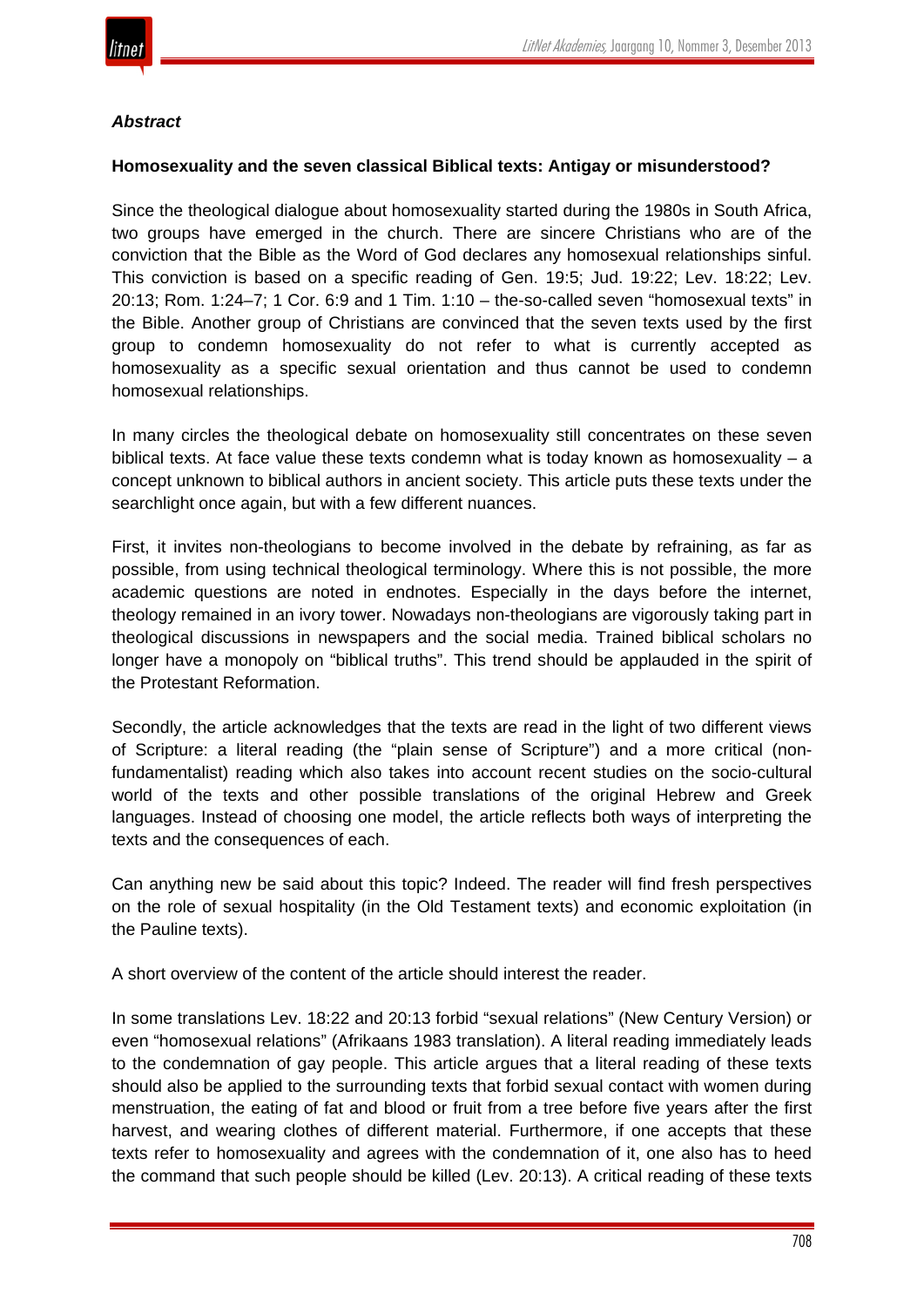

## *Abstract*

#### **Homosexuality and the seven classical Biblical texts: Antigay or misunderstood?**

Since the theological dialogue about homosexuality started during the 1980s in South Africa, two groups have emerged in the church. There are sincere Christians who are of the conviction that the Bible as the Word of God declares any homosexual relationships sinful. This conviction is based on a specific reading of Gen. 19:5; Jud. 19:22; Lev. 18:22; Lev. 20:13; Rom. 1:24–7; 1 Cor. 6:9 and 1 Tim. 1:10 – the-so-called seven "homosexual texts" in the Bible. Another group of Christians are convinced that the seven texts used by the first group to condemn homosexuality do not refer to what is currently accepted as homosexuality as a specific sexual orientation and thus cannot be used to condemn homosexual relationships.

In many circles the theological debate on homosexuality still concentrates on these seven biblical texts. At face value these texts condemn what is today known as homosexuality  $-$  a concept unknown to biblical authors in ancient society. This article puts these texts under the searchlight once again, but with a few different nuances.

First, it invites non-theologians to become involved in the debate by refraining, as far as possible, from using technical theological terminology. Where this is not possible, the more academic questions are noted in endnotes. Especially in the days before the internet, theology remained in an ivory tower. Nowadays non-theologians are vigorously taking part in theological discussions in newspapers and the social media. Trained biblical scholars no longer have a monopoly on "biblical truths". This trend should be applauded in the spirit of the Protestant Reformation.

Secondly, the article acknowledges that the texts are read in the light of two different views of Scripture: a literal reading (the "plain sense of Scripture") and a more critical (nonfundamentalist) reading which also takes into account recent studies on the socio-cultural world of the texts and other possible translations of the original Hebrew and Greek languages. Instead of choosing one model, the article reflects both ways of interpreting the texts and the consequences of each.

Can anything new be said about this topic? Indeed. The reader will find fresh perspectives on the role of sexual hospitality (in the Old Testament texts) and economic exploitation (in the Pauline texts).

A short overview of the content of the article should interest the reader.

In some translations Lev. 18:22 and 20:13 forbid "sexual relations" (New Century Version) or even "homosexual relations" (Afrikaans 1983 translation). A literal reading immediately leads to the condemnation of gay people. This article argues that a literal reading of these texts should also be applied to the surrounding texts that forbid sexual contact with women during menstruation, the eating of fat and blood or fruit from a tree before five years after the first harvest, and wearing clothes of different material. Furthermore, if one accepts that these texts refer to homosexuality and agrees with the condemnation of it, one also has to heed the command that such people should be killed (Lev. 20:13). A critical reading of these texts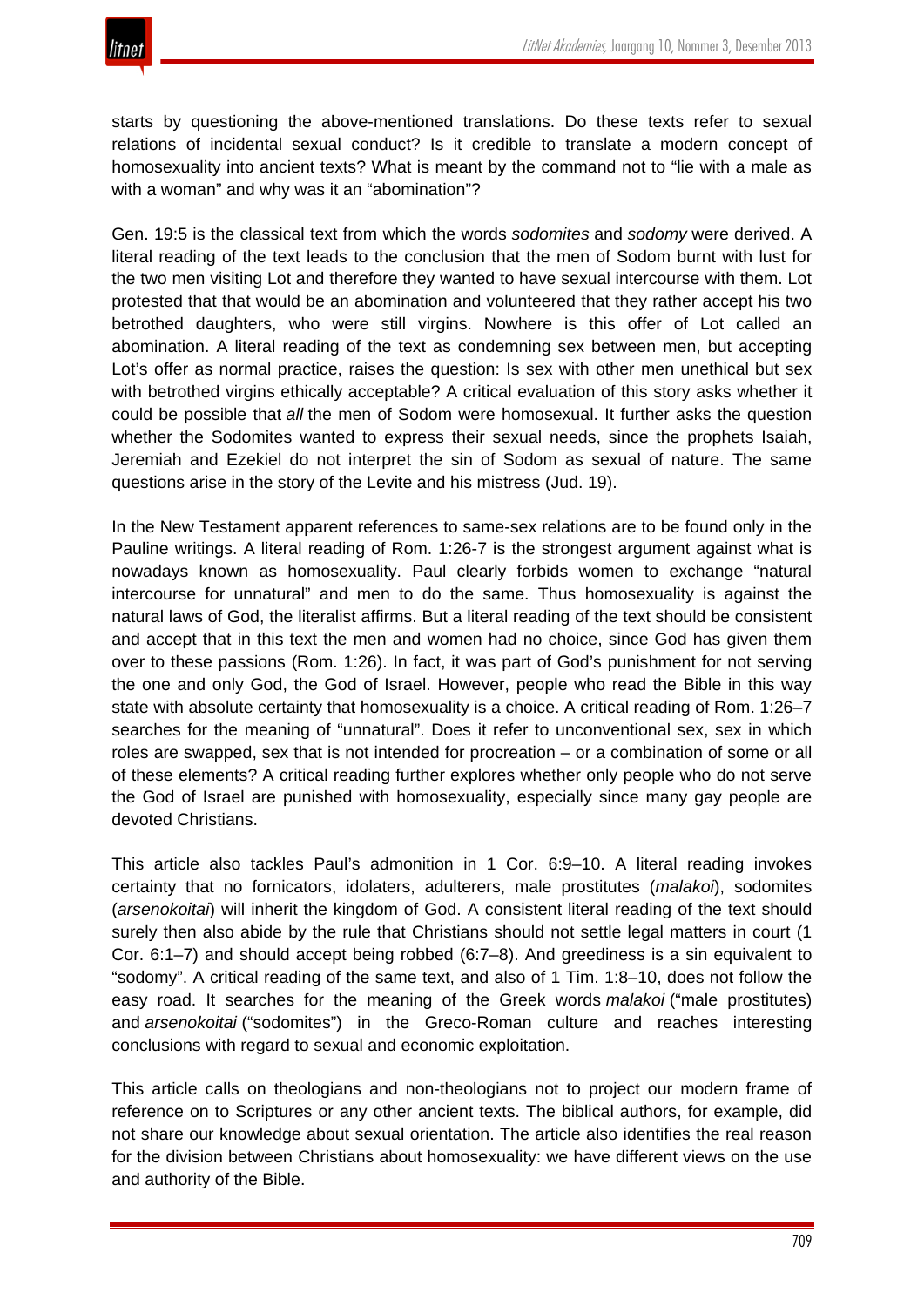

starts by questioning the above-mentioned translations. Do these texts refer to sexual relations of incidental sexual conduct? Is it credible to translate a modern concept of homosexuality into ancient texts? What is meant by the command not to "lie with a male as with a woman" and why was it an "abomination"?

Gen. 19:5 is the classical text from which the words *sodomites* and *sodomy* were derived. A literal reading of the text leads to the conclusion that the men of Sodom burnt with lust for the two men visiting Lot and therefore they wanted to have sexual intercourse with them. Lot protested that that would be an abomination and volunteered that they rather accept his two betrothed daughters, who were still virgins. Nowhere is this offer of Lot called an abomination. A literal reading of the text as condemning sex between men, but accepting Lot's offer as normal practice, raises the question: Is sex with other men unethical but sex with betrothed virgins ethically acceptable? A critical evaluation of this story asks whether it could be possible that *all* the men of Sodom were homosexual. It further asks the question whether the Sodomites wanted to express their sexual needs, since the prophets Isaiah, Jeremiah and Ezekiel do not interpret the sin of Sodom as sexual of nature. The same questions arise in the story of the Levite and his mistress (Jud. 19).

In the New Testament apparent references to same-sex relations are to be found only in the Pauline writings. A literal reading of Rom. 1:26-7 is the strongest argument against what is nowadays known as homosexuality. Paul clearly forbids women to exchange "natural intercourse for unnatural" and men to do the same. Thus homosexuality is against the natural laws of God, the literalist affirms. But a literal reading of the text should be consistent and accept that in this text the men and women had no choice, since God has given them over to these passions (Rom. 1:26). In fact, it was part of God's punishment for not serving the one and only God, the God of Israel. However, people who read the Bible in this way state with absolute certainty that homosexuality is a choice. A critical reading of Rom. 1:26–7 searches for the meaning of "unnatural". Does it refer to unconventional sex, sex in which roles are swapped, sex that is not intended for procreation – or a combination of some or all of these elements? A critical reading further explores whether only people who do not serve the God of Israel are punished with homosexuality, especially since many gay people are devoted Christians.

This article also tackles Paul's admonition in 1 Cor. 6:9–10. A literal reading invokes certainty that no fornicators, idolaters, adulterers, male prostitutes (*malakoi*), sodomites (*arsenokoitai*) will inherit the kingdom of God. A consistent literal reading of the text should surely then also abide by the rule that Christians should not settle legal matters in court (1 Cor. 6:1–7) and should accept being robbed (6:7–8). And greediness is a sin equivalent to "sodomy". A critical reading of the same text, and also of 1 Tim. 1:8–10, does not follow the easy road. It searches for the meaning of the Greek words *malakoi* ("male prostitutes) and *arsenokoitai* ("sodomites") in the Greco-Roman culture and reaches interesting conclusions with regard to sexual and economic exploitation.

This article calls on theologians and non-theologians not to project our modern frame of reference on to Scriptures or any other ancient texts. The biblical authors, for example, did not share our knowledge about sexual orientation. The article also identifies the real reason for the division between Christians about homosexuality: we have different views on the use and authority of the Bible.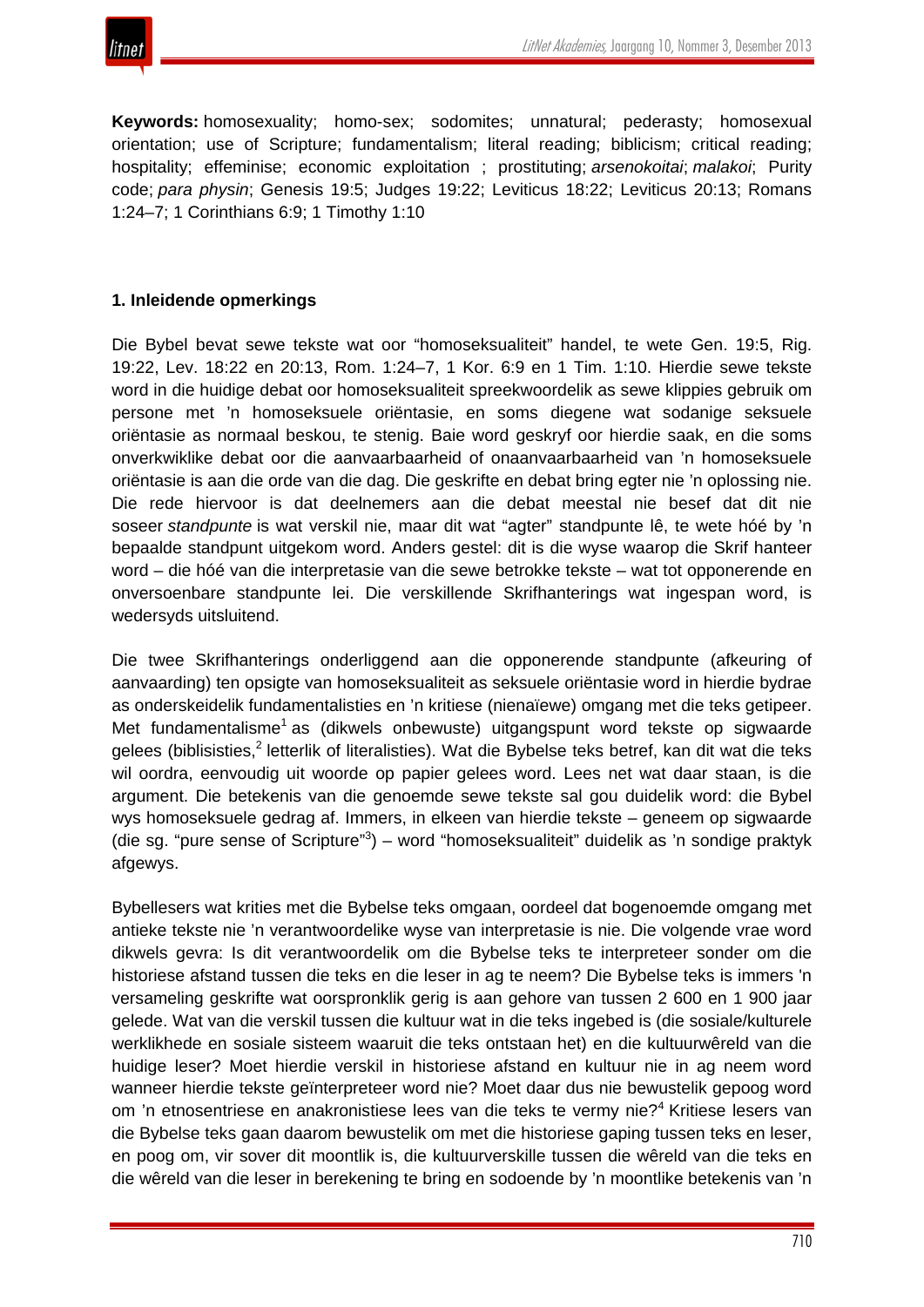

**Keywords:** homosexuality; homo-sex; sodomites; unnatural; pederasty; homosexual orientation; use of Scripture; fundamentalism; literal reading; biblicism; critical reading; hospitality; effeminise; economic exploitation ; prostituting; *arsenokoitai*; *malakoi*; Purity code; *para physin*; Genesis 19:5; Judges 19:22; Leviticus 18:22; Leviticus 20:13; Romans 1:24–7; 1 Corinthians 6:9; 1 Timothy 1:10

# **1. Inleidende opmerkings**

Die Bybel bevat sewe tekste wat oor "homoseksualiteit" handel, te wete Gen. 19:5, Rig. 19:22, Lev. 18:22 en 20:13, Rom. 1:24–7, 1 Kor. 6:9 en 1 Tim. 1:10. Hierdie sewe tekste word in die huidige debat oor homoseksualiteit spreekwoordelik as sewe klippies gebruik om persone met 'n homoseksuele oriëntasie, en soms diegene wat sodanige seksuele oriëntasie as normaal beskou, te stenig. Baie word geskryf oor hierdie saak, en die soms onverkwiklike debat oor die aanvaarbaarheid of onaanvaarbaarheid van 'n homoseksuele oriëntasie is aan die orde van die dag. Die geskrifte en debat bring egter nie 'n oplossing nie. Die rede hiervoor is dat deelnemers aan die debat meestal nie besef dat dit nie soseer *standpunte* is wat verskil nie, maar dit wat "agter" standpunte lê, te wete hóé by 'n bepaalde standpunt uitgekom word. Anders gestel: dit is die wyse waarop die Skrif hanteer word – die hóé van die interpretasie van die sewe betrokke tekste – wat tot opponerende en onversoenbare standpunte lei. Die verskillende Skrifhanterings wat ingespan word, is wedersyds uitsluitend.

Die twee Skrifhanterings onderliggend aan die opponerende standpunte (afkeuring of aanvaarding) ten opsigte van homoseksualiteit as seksuele oriëntasie word in hierdie bydrae as onderskeidelik fundamentalisties en 'n kritiese (nienaïewe) omgang met die teks getipeer. Met fundamentalisme<sup>1</sup> as (dikwels onbewuste) uitgangspunt word tekste op sigwaarde gelees (biblisisties,<sup>2</sup> letterlik of literalisties). Wat die Bybelse teks betref, kan dit wat die teks wil oordra, eenvoudig uit woorde op papier gelees word. Lees net wat daar staan, is die argument. Die betekenis van die genoemde sewe tekste sal gou duidelik word: die Bybel wys homoseksuele gedrag af. Immers, in elkeen van hierdie tekste – geneem op sigwaarde (die sg. "pure sense of Scripture"<sup>3</sup>) – word "homoseksualiteit" duidelik as 'n sondige praktyk afgewys.

Bybellesers wat krities met die Bybelse teks omgaan, oordeel dat bogenoemde omgang met antieke tekste nie 'n verantwoordelike wyse van interpretasie is nie. Die volgende vrae word dikwels gevra: Is dit verantwoordelik om die Bybelse teks te interpreteer sonder om die historiese afstand tussen die teks en die leser in ag te neem? Die Bybelse teks is immers 'n versameling geskrifte wat oorspronklik gerig is aan gehore van tussen 2 600 en 1 900 jaar gelede. Wat van die verskil tussen die kultuur wat in die teks ingebed is (die sosiale/kulturele werklikhede en sosiale sisteem waaruit die teks ontstaan het) en die kultuurwêreld van die huidige leser? Moet hierdie verskil in historiese afstand en kultuur nie in ag neem word wanneer hierdie tekste geïnterpreteer word nie? Moet daar dus nie bewustelik gepoog word om 'n etnosentriese en anakronistiese lees van die teks te vermy nie?<sup>4</sup> Kritiese lesers van die Bybelse teks gaan daarom bewustelik om met die historiese gaping tussen teks en leser, en poog om, vir sover dit moontlik is, die kultuurverskille tussen die wêreld van die teks en die wêreld van die leser in berekening te bring en sodoende by 'n moontlike betekenis van 'n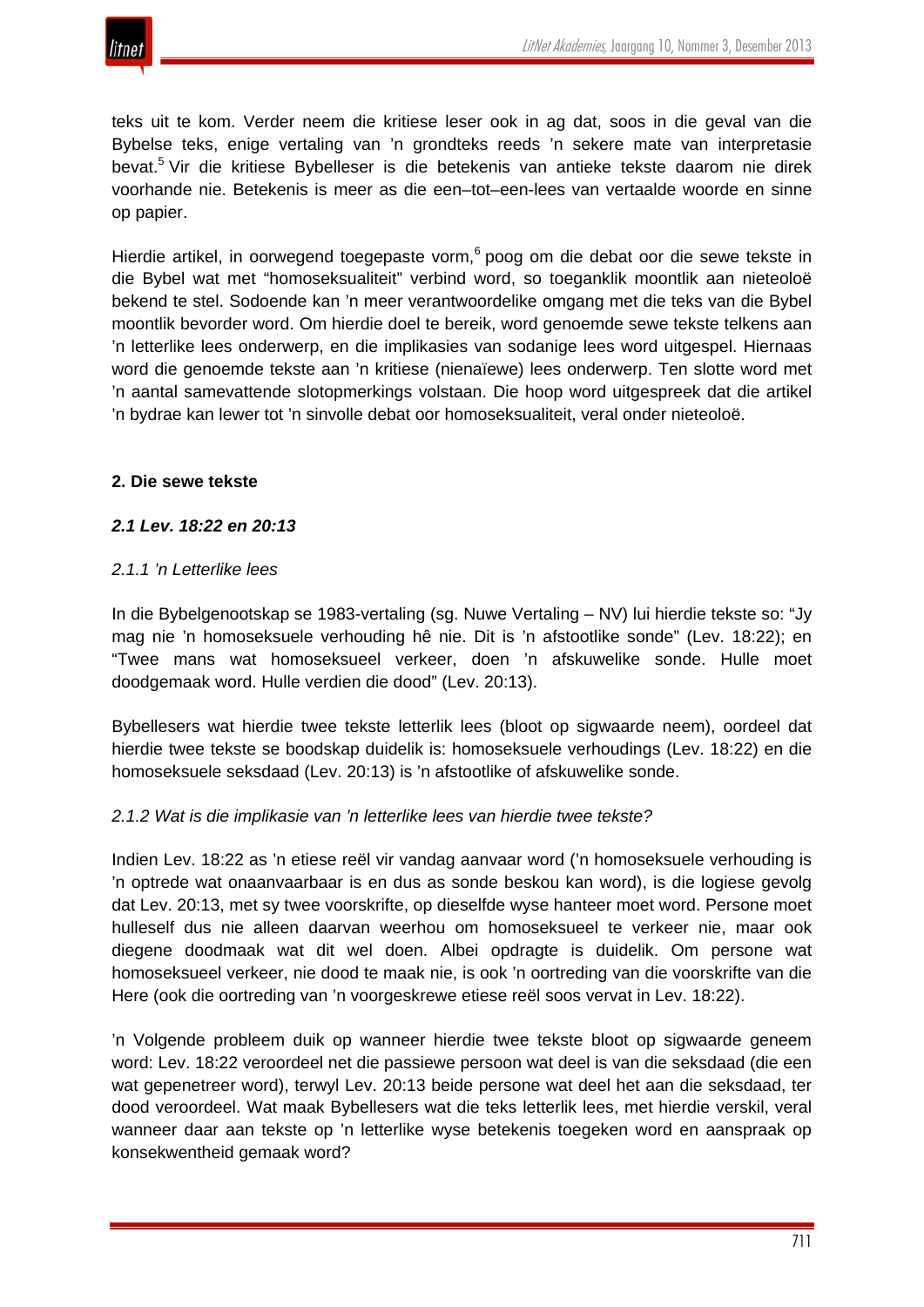

teks uit te kom. Verder neem die kritiese leser ook in ag dat, soos in die geval van die Bybelse teks, enige vertaling van 'n grondteks reeds 'n sekere mate van interpretasie bevat.<sup>5</sup> Vir die kritiese Bybelleser is die betekenis van antieke tekste daarom nie direk voorhande nie. Betekenis is meer as die een–tot–een-lees van vertaalde woorde en sinne op papier.

Hierdie artikel, in oorwegend toegepaste vorm,<sup>6</sup> poog om die debat oor die sewe tekste in die Bybel wat met "homoseksualiteit" verbind word, so toeganklik moontlik aan nieteoloë bekend te stel. Sodoende kan 'n meer verantwoordelike omgang met die teks van die Bybel moontlik bevorder word. Om hierdie doel te bereik, word genoemde sewe tekste telkens aan 'n letterlike lees onderwerp, en die implikasies van sodanige lees word uitgespel. Hiernaas word die genoemde tekste aan 'n kritiese (nienaïewe) lees onderwerp. Ten slotte word met 'n aantal samevattende slotopmerkings volstaan. Die hoop word uitgespreek dat die artikel 'n bydrae kan lewer tot 'n sinvolle debat oor homoseksualiteit, veral onder nieteoloë.

## **2. Die sewe tekste**

# *2.1 Lev. 18:22 en 20:13*

## *2.1.1 'n Letterlike lees*

In die Bybelgenootskap se 1983-vertaling (sg. Nuwe Vertaling – NV) lui hierdie tekste so: "Jy mag nie 'n homoseksuele verhouding hê nie. Dit is 'n afstootlike sonde" (Lev. 18:22); en "Twee mans wat homoseksueel verkeer, doen 'n afskuwelike sonde. Hulle moet doodgemaak word. Hulle verdien die dood" (Lev. 20:13).

Bybellesers wat hierdie twee tekste letterlik lees (bloot op sigwaarde neem), oordeel dat hierdie twee tekste se boodskap duidelik is: homoseksuele verhoudings (Lev. 18:22) en die homoseksuele seksdaad (Lev. 20:13) is 'n afstootlike of afskuwelike sonde.

#### *2.1.2 Wat is die implikasie van 'n letterlike lees van hierdie twee tekste?*

Indien Lev. 18:22 as 'n etiese reël vir vandag aanvaar word ('n homoseksuele verhouding is 'n optrede wat onaanvaarbaar is en dus as sonde beskou kan word), is die logiese gevolg dat Lev. 20:13, met sy twee voorskrifte, op dieselfde wyse hanteer moet word. Persone moet hulleself dus nie alleen daarvan weerhou om homoseksueel te verkeer nie, maar ook diegene doodmaak wat dit wel doen. Albei opdragte is duidelik. Om persone wat homoseksueel verkeer, nie dood te maak nie, is ook 'n oortreding van die voorskrifte van die Here (ook die oortreding van 'n voorgeskrewe etiese reël soos vervat in Lev. 18:22).

'n Volgende probleem duik op wanneer hierdie twee tekste bloot op sigwaarde geneem word: Lev. 18:22 veroordeel net die passiewe persoon wat deel is van die seksdaad (die een wat gepenetreer word), terwyl Lev. 20:13 beide persone wat deel het aan die seksdaad, ter dood veroordeel. Wat maak Bybellesers wat die teks letterlik lees, met hierdie verskil, veral wanneer daar aan tekste op 'n letterlike wyse betekenis toegeken word en aanspraak op konsekwentheid gemaak word?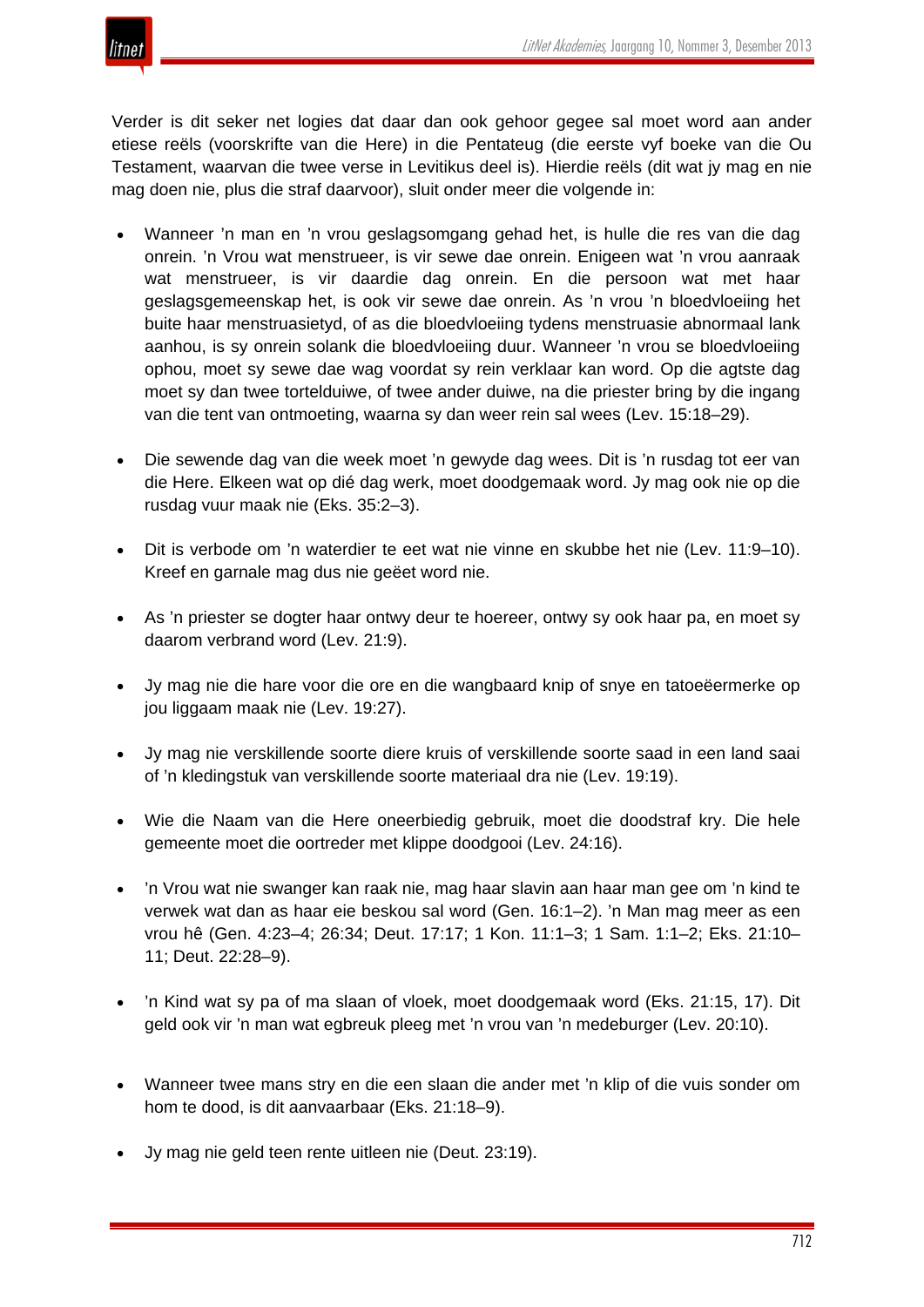

Verder is dit seker net logies dat daar dan ook gehoor gegee sal moet word aan ander etiese reëls (voorskrifte van die Here) in die Pentateug (die eerste vyf boeke van die Ou Testament, waarvan die twee verse in Levitikus deel is). Hierdie reëls (dit wat jy mag en nie mag doen nie, plus die straf daarvoor), sluit onder meer die volgende in:

- Wanneer 'n man en 'n vrou geslagsomgang gehad het, is hulle die res van die dag onrein. 'n Vrou wat menstrueer, is vir sewe dae onrein. Enigeen wat 'n vrou aanraak wat menstrueer, is vir daardie dag onrein. En die persoon wat met haar geslagsgemeenskap het, is ook vir sewe dae onrein. As 'n vrou 'n bloedvloeiing het buite haar menstruasietyd, of as die bloedvloeiing tydens menstruasie abnormaal lank aanhou, is sy onrein solank die bloedvloeiing duur. Wanneer 'n vrou se bloedvloeiing ophou, moet sy sewe dae wag voordat sy rein verklaar kan word. Op die agtste dag moet sy dan twee tortelduiwe, of twee ander duiwe, na die priester bring by die ingang van die tent van ontmoeting, waarna sy dan weer rein sal wees (Lev. 15:18–29).
- Die sewende dag van die week moet 'n gewyde dag wees. Dit is 'n rusdag tot eer van die Here. Elkeen wat op dié dag werk, moet doodgemaak word. Jy mag ook nie op die rusdag vuur maak nie (Eks. 35:2–3).
- Dit is verbode om 'n waterdier te eet wat nie vinne en skubbe het nie (Lev. 11:9–10). Kreef en garnale mag dus nie geëet word nie.
- As 'n priester se dogter haar ontwy deur te hoereer, ontwy sy ook haar pa, en moet sy daarom verbrand word (Lev. 21:9).
- Jy mag nie die hare voor die ore en die wangbaard knip of snye en tatoeëermerke op jou liggaam maak nie (Lev. 19:27).
- Jy mag nie verskillende soorte diere kruis of verskillende soorte saad in een land saai of 'n kledingstuk van verskillende soorte materiaal dra nie (Lev. 19:19).
- Wie die Naam van die Here oneerbiedig gebruik, moet die doodstraf kry. Die hele gemeente moet die oortreder met klippe doodgooi (Lev. 24:16).
- 'n Vrou wat nie swanger kan raak nie, mag haar slavin aan haar man gee om 'n kind te verwek wat dan as haar eie beskou sal word (Gen. 16:1–2). 'n Man mag meer as een vrou hê (Gen. 4:23–4; 26:34; Deut. 17:17; 1 Kon. 11:1–3; 1 Sam. 1:1–2; Eks. 21:10– 11; Deut. 22:28–9).
- 'n Kind wat sy pa of ma slaan of vloek, moet doodgemaak word (Eks. 21:15, 17). Dit geld ook vir 'n man wat egbreuk pleeg met 'n vrou van 'n medeburger (Lev. 20:10).
- Wanneer twee mans stry en die een slaan die ander met 'n klip of die vuis sonder om hom te dood, is dit aanvaarbaar (Eks. 21:18–9).
- Jy mag nie geld teen rente uitleen nie (Deut. 23:19).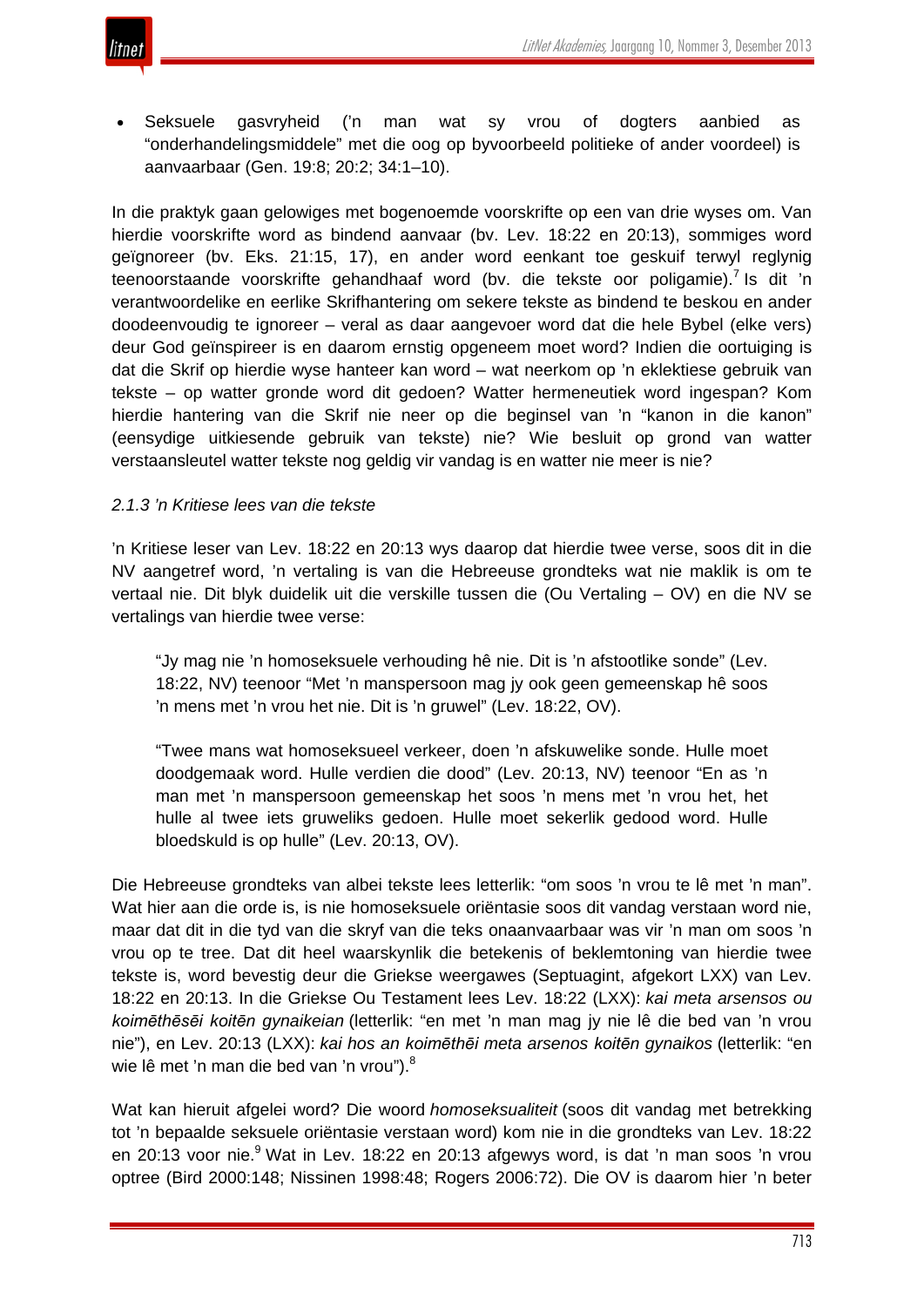

• Seksuele gasvryheid ('n man wat sy vrou of dogters aanbied as "onderhandelingsmiddele" met die oog op byvoorbeeld politieke of ander voordeel) is aanvaarbaar (Gen. 19:8; 20:2; 34:1–10).

In die praktyk gaan gelowiges met bogenoemde voorskrifte op een van drie wyses om. Van hierdie voorskrifte word as bindend aanvaar (bv. Lev. 18:22 en 20:13), sommiges word geïgnoreer (bv. Eks. 21:15, 17), en ander word eenkant toe geskuif terwyl reglynig teenoorstaande voorskrifte gehandhaaf word (by. die tekste oor poligamie).<sup>7</sup> Is dit 'n verantwoordelike en eerlike Skrifhantering om sekere tekste as bindend te beskou en ander doodeenvoudig te ignoreer – veral as daar aangevoer word dat die hele Bybel (elke vers) deur God geïnspireer is en daarom ernstig opgeneem moet word? Indien die oortuiging is dat die Skrif op hierdie wyse hanteer kan word – wat neerkom op 'n eklektiese gebruik van tekste – op watter gronde word dit gedoen? Watter hermeneutiek word ingespan? Kom hierdie hantering van die Skrif nie neer op die beginsel van 'n "kanon in die kanon" (eensydige uitkiesende gebruik van tekste) nie? Wie besluit op grond van watter verstaansleutel watter tekste nog geldig vir vandag is en watter nie meer is nie?

## *2.1.3 'n Kritiese lees van die tekste*

'n Kritiese leser van Lev. 18:22 en 20:13 wys daarop dat hierdie twee verse, soos dit in die NV aangetref word, 'n vertaling is van die Hebreeuse grondteks wat nie maklik is om te vertaal nie. Dit blyk duidelik uit die verskille tussen die (Ou Vertaling – OV) en die NV se vertalings van hierdie twee verse:

"Jy mag nie 'n homoseksuele verhouding hê nie. Dit is 'n afstootlike sonde" (Lev. 18:22, NV) teenoor "Met 'n manspersoon mag jy ook geen gemeenskap hê soos 'n mens met 'n vrou het nie. Dit is 'n gruwel" (Lev. 18:22, OV).

"Twee mans wat homoseksueel verkeer, doen 'n afskuwelike sonde. Hulle moet doodgemaak word. Hulle verdien die dood" (Lev. 20:13, NV) teenoor "En as 'n man met 'n manspersoon gemeenskap het soos 'n mens met 'n vrou het, het hulle al twee iets gruweliks gedoen. Hulle moet sekerlik gedood word. Hulle bloedskuld is op hulle" (Lev. 20:13, OV).

Die Hebreeuse grondteks van albei tekste lees letterlik: "om soos 'n vrou te lê met 'n man". Wat hier aan die orde is, is nie homoseksuele oriëntasie soos dit vandag verstaan word nie, maar dat dit in die tyd van die skryf van die teks onaanvaarbaar was vir 'n man om soos 'n vrou op te tree. Dat dit heel waarskynlik die betekenis of beklemtoning van hierdie twee tekste is, word bevestig deur die Griekse weergawes (Septuagint, afgekort LXX) van Lev. 18:22 en 20:13. In die Griekse Ou Testament lees Lev. 18:22 (LXX): *kai meta arsensos ou koimēthēsēi koitēn gynaikeian* (letterlik: "en met 'n man mag jy nie lê die bed van 'n vrou nie"), en Lev. 20:13 (LXX): *kai hos an koimēthēi meta arsenos koitēn gynaikos* (letterlik: "en wie lê met 'n man die bed van 'n vrou").<sup>8</sup>

Wat kan hieruit afgelei word? Die woord *homoseksualiteit* (soos dit vandag met betrekking tot 'n bepaalde seksuele oriëntasie verstaan word) kom nie in die grondteks van Lev. 18:22 en 20:13 voor nie.<sup>9</sup> Wat in Lev. 18:22 en 20:13 afgewys word, is dat 'n man soos 'n vrou optree (Bird 2000:148; Nissinen 1998:48; Rogers 2006:72). Die OV is daarom hier 'n beter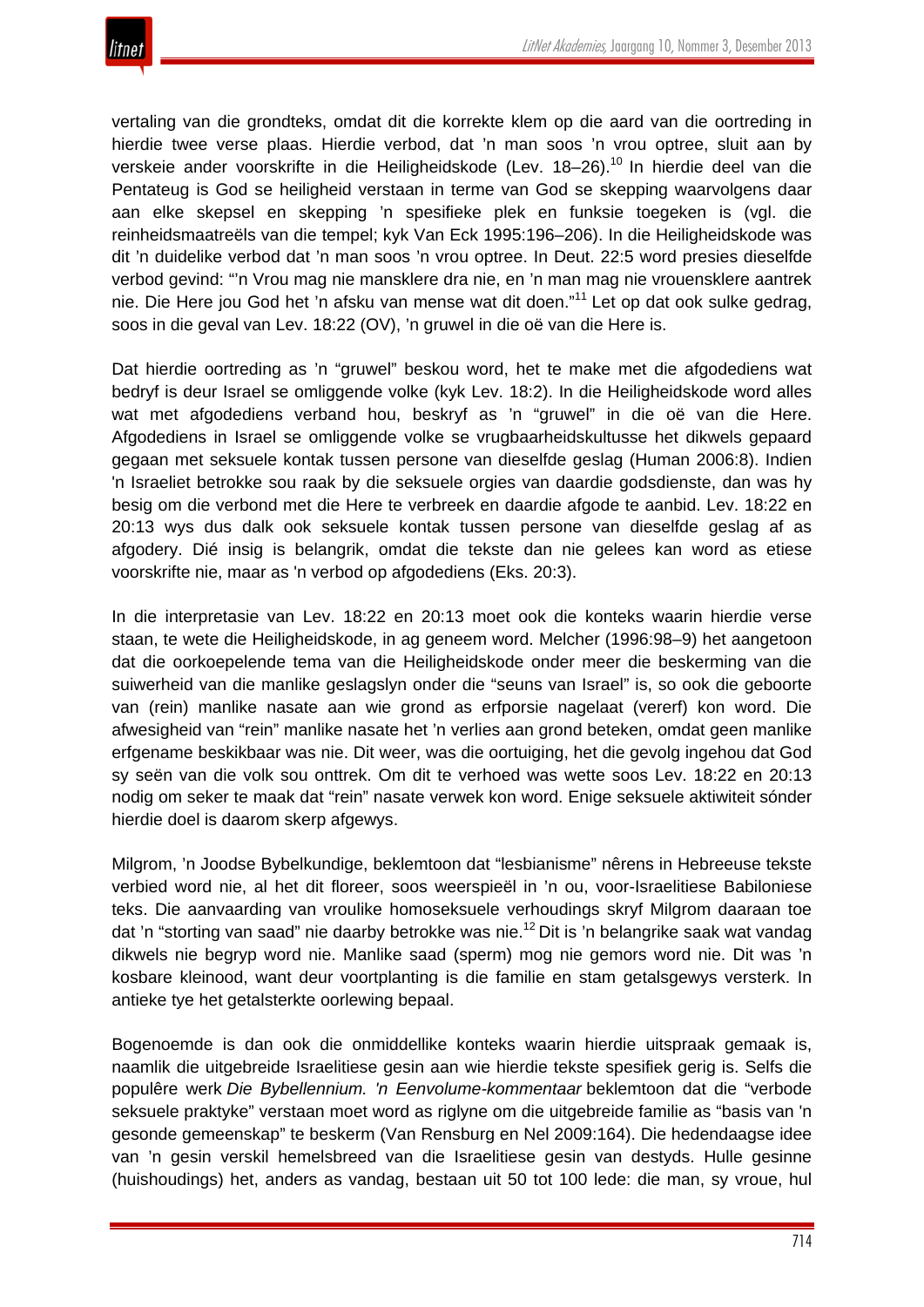

vertaling van die grondteks, omdat dit die korrekte klem op die aard van die oortreding in hierdie twee verse plaas. Hierdie verbod, dat 'n man soos 'n vrou optree, sluit aan by verskeie ander voorskrifte in die Heiligheidskode (Lev. 18-26).<sup>10</sup> In hierdie deel van die Pentateug is God se heiligheid verstaan in terme van God se skepping waarvolgens daar aan elke skepsel en skepping 'n spesifieke plek en funksie toegeken is (vgl. die reinheidsmaatreëls van die tempel; kyk Van Eck 1995:196–206). In die Heiligheidskode was dit 'n duidelike verbod dat 'n man soos 'n vrou optree. In Deut. 22:5 word presies dieselfde verbod gevind: "'n Vrou mag nie mansklere dra nie, en 'n man mag nie vrouensklere aantrek nie. Die Here jou God het 'n afsku van mense wat dit doen."<sup>11</sup> Let op dat ook sulke gedrag, soos in die geval van Lev. 18:22 (OV), 'n gruwel in die oë van die Here is.

Dat hierdie oortreding as 'n "gruwel" beskou word, het te make met die afgodediens wat bedryf is deur Israel se omliggende volke (kyk Lev. 18:2). In die Heiligheidskode word alles wat met afgodediens verband hou, beskryf as 'n "gruwel" in die oë van die Here. Afgodediens in Israel se omliggende volke se vrugbaarheidskultusse het dikwels gepaard gegaan met seksuele kontak tussen persone van dieselfde geslag (Human 2006:8). Indien 'n Israeliet betrokke sou raak by die seksuele orgies van daardie godsdienste, dan was hy besig om die verbond met die Here te verbreek en daardie afgode te aanbid. Lev. 18:22 en 20:13 wys dus dalk ook seksuele kontak tussen persone van dieselfde geslag af as afgodery. Dié insig is belangrik, omdat die tekste dan nie gelees kan word as etiese voorskrifte nie, maar as 'n verbod op afgodediens (Eks. 20:3).

In die interpretasie van Lev. 18:22 en 20:13 moet ook die konteks waarin hierdie verse staan, te wete die Heiligheidskode, in ag geneem word. Melcher (1996:98–9) het aangetoon dat die oorkoepelende tema van die Heiligheidskode onder meer die beskerming van die suiwerheid van die manlike geslagslyn onder die "seuns van Israel" is, so ook die geboorte van (rein) manlike nasate aan wie grond as erfporsie nagelaat (vererf) kon word. Die afwesigheid van "rein" manlike nasate het 'n verlies aan grond beteken, omdat geen manlike erfgename beskikbaar was nie. Dit weer, was die oortuiging, het die gevolg ingehou dat God sy seën van die volk sou onttrek. Om dit te verhoed was wette soos Lev. 18:22 en 20:13 nodig om seker te maak dat "rein" nasate verwek kon word. Enige seksuele aktiwiteit sónder hierdie doel is daarom skerp afgewys.

Milgrom, 'n Joodse Bybelkundige, beklemtoon dat "lesbianisme" nêrens in Hebreeuse tekste verbied word nie, al het dit floreer, soos weerspieël in 'n ou, voor-Israelitiese Babiloniese teks. Die aanvaarding van vroulike homoseksuele verhoudings skryf Milgrom daaraan toe dat 'n "storting van saad" nie daarby betrokke was nie.<sup>12</sup> Dit is 'n belangrike saak wat vandag dikwels nie begryp word nie. Manlike saad (sperm) mog nie gemors word nie. Dit was 'n kosbare kleinood, want deur voortplanting is die familie en stam getalsgewys versterk. In antieke tye het getalsterkte oorlewing bepaal.

Bogenoemde is dan ook die onmiddellike konteks waarin hierdie uitspraak gemaak is, naamlik die uitgebreide Israelitiese gesin aan wie hierdie tekste spesifiek gerig is. Selfs die populêre werk *Die Bybellennium. 'n Eenvolume-kommentaar* beklemtoon dat die "verbode seksuele praktyke" verstaan moet word as riglyne om die uitgebreide familie as "basis van 'n gesonde gemeenskap" te beskerm (Van Rensburg en Nel 2009:164). Die hedendaagse idee van 'n gesin verskil hemelsbreed van die Israelitiese gesin van destyds. Hulle gesinne (huishoudings) het, anders as vandag, bestaan uit 50 tot 100 lede: die man, sy vroue, hul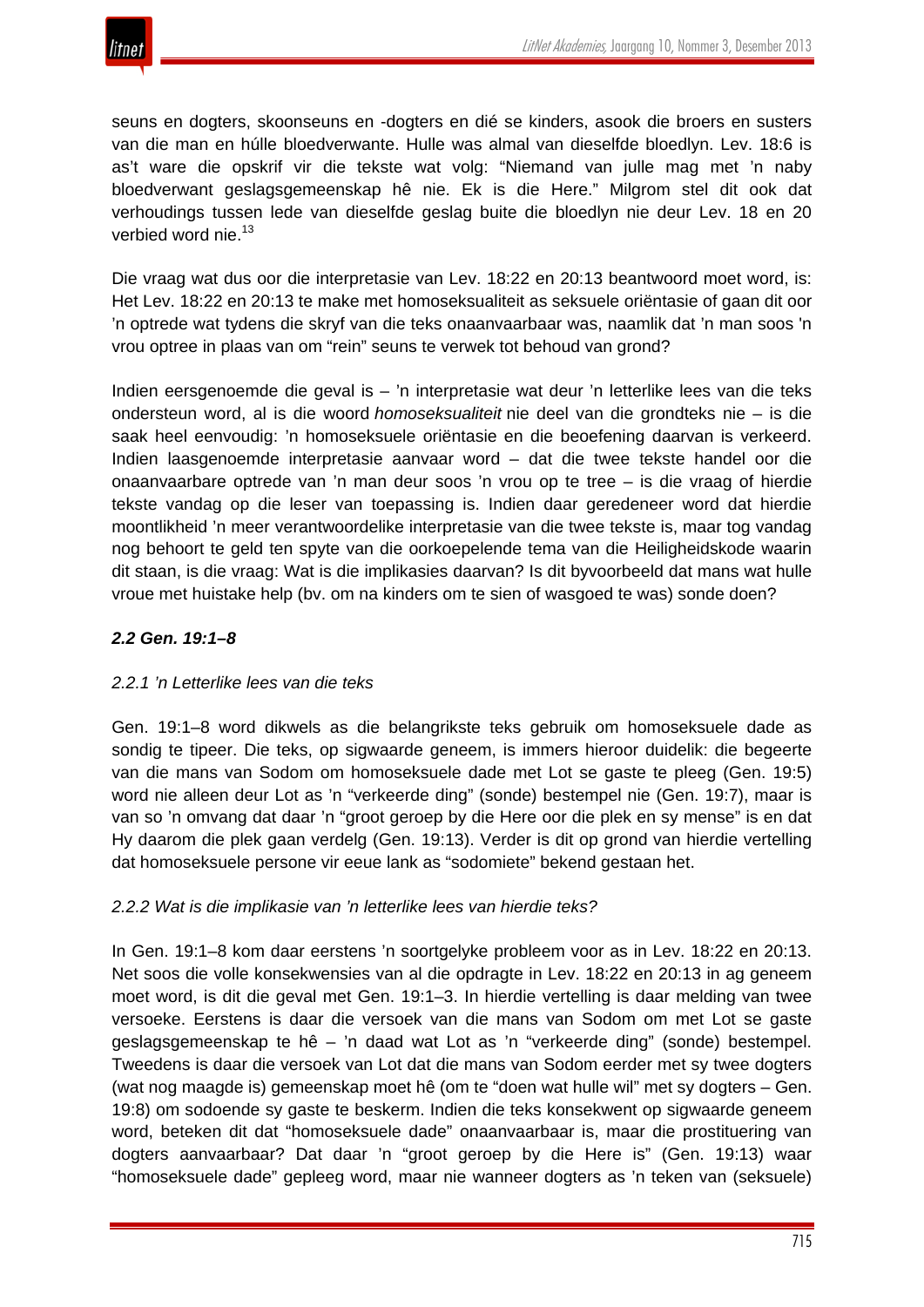

seuns en dogters, skoonseuns en -dogters en dié se kinders, asook die broers en susters van die man en húlle bloedverwante. Hulle was almal van dieselfde bloedlyn. Lev. 18:6 is as't ware die opskrif vir die tekste wat volg: "Niemand van julle mag met 'n naby bloedverwant geslagsgemeenskap hê nie. Ek is die Here." Milgrom stel dit ook dat verhoudings tussen lede van dieselfde geslag buite die bloedlyn nie deur Lev. 18 en 20 verbied word nie.<sup>13</sup>

Die vraag wat dus oor die interpretasie van Lev. 18:22 en 20:13 beantwoord moet word, is: Het Lev. 18:22 en 20:13 te make met homoseksualiteit as seksuele oriëntasie of gaan dit oor 'n optrede wat tydens die skryf van die teks onaanvaarbaar was, naamlik dat 'n man soos 'n vrou optree in plaas van om "rein" seuns te verwek tot behoud van grond?

Indien eersgenoemde die geval is – 'n interpretasie wat deur 'n letterlike lees van die teks ondersteun word, al is die woord *homoseksualiteit* nie deel van die grondteks nie – is die saak heel eenvoudig: 'n homoseksuele oriëntasie en die beoefening daarvan is verkeerd. Indien laasgenoemde interpretasie aanvaar word – dat die twee tekste handel oor die onaanvaarbare optrede van 'n man deur soos 'n vrou op te tree – is die vraag of hierdie tekste vandag op die leser van toepassing is. Indien daar geredeneer word dat hierdie moontlikheid 'n meer verantwoordelike interpretasie van die twee tekste is, maar tog vandag nog behoort te geld ten spyte van die oorkoepelende tema van die Heiligheidskode waarin dit staan, is die vraag: Wat is die implikasies daarvan? Is dit byvoorbeeld dat mans wat hulle vroue met huistake help (bv. om na kinders om te sien of wasgoed te was) sonde doen?

# *2.2 Gen. 19:1–8*

# *2.2.1 'n Letterlike lees van die teks*

Gen. 19:1–8 word dikwels as die belangrikste teks gebruik om homoseksuele dade as sondig te tipeer. Die teks, op sigwaarde geneem, is immers hieroor duidelik: die begeerte van die mans van Sodom om homoseksuele dade met Lot se gaste te pleeg (Gen. 19:5) word nie alleen deur Lot as 'n "verkeerde ding" (sonde) bestempel nie (Gen. 19:7), maar is van so 'n omvang dat daar 'n "groot geroep by die Here oor die plek en sy mense" is en dat Hy daarom die plek gaan verdelg (Gen. 19:13). Verder is dit op grond van hierdie vertelling dat homoseksuele persone vir eeue lank as "sodomiete" bekend gestaan het.

# *2.2.2 Wat is die implikasie van 'n letterlike lees van hierdie teks?*

In Gen. 19:1–8 kom daar eerstens 'n soortgelyke probleem voor as in Lev. 18:22 en 20:13. Net soos die volle konsekwensies van al die opdragte in Lev. 18:22 en 20:13 in ag geneem moet word, is dit die geval met Gen. 19:1–3. In hierdie vertelling is daar melding van twee versoeke. Eerstens is daar die versoek van die mans van Sodom om met Lot se gaste geslagsgemeenskap te hê – 'n daad wat Lot as 'n "verkeerde ding" (sonde) bestempel. Tweedens is daar die versoek van Lot dat die mans van Sodom eerder met sy twee dogters (wat nog maagde is) gemeenskap moet hê (om te "doen wat hulle wil" met sy dogters – Gen. 19:8) om sodoende sy gaste te beskerm. Indien die teks konsekwent op sigwaarde geneem word, beteken dit dat "homoseksuele dade" onaanvaarbaar is, maar die prostituering van dogters aanvaarbaar? Dat daar 'n "groot geroep by die Here is" (Gen. 19:13) waar "homoseksuele dade" gepleeg word, maar nie wanneer dogters as 'n teken van (seksuele)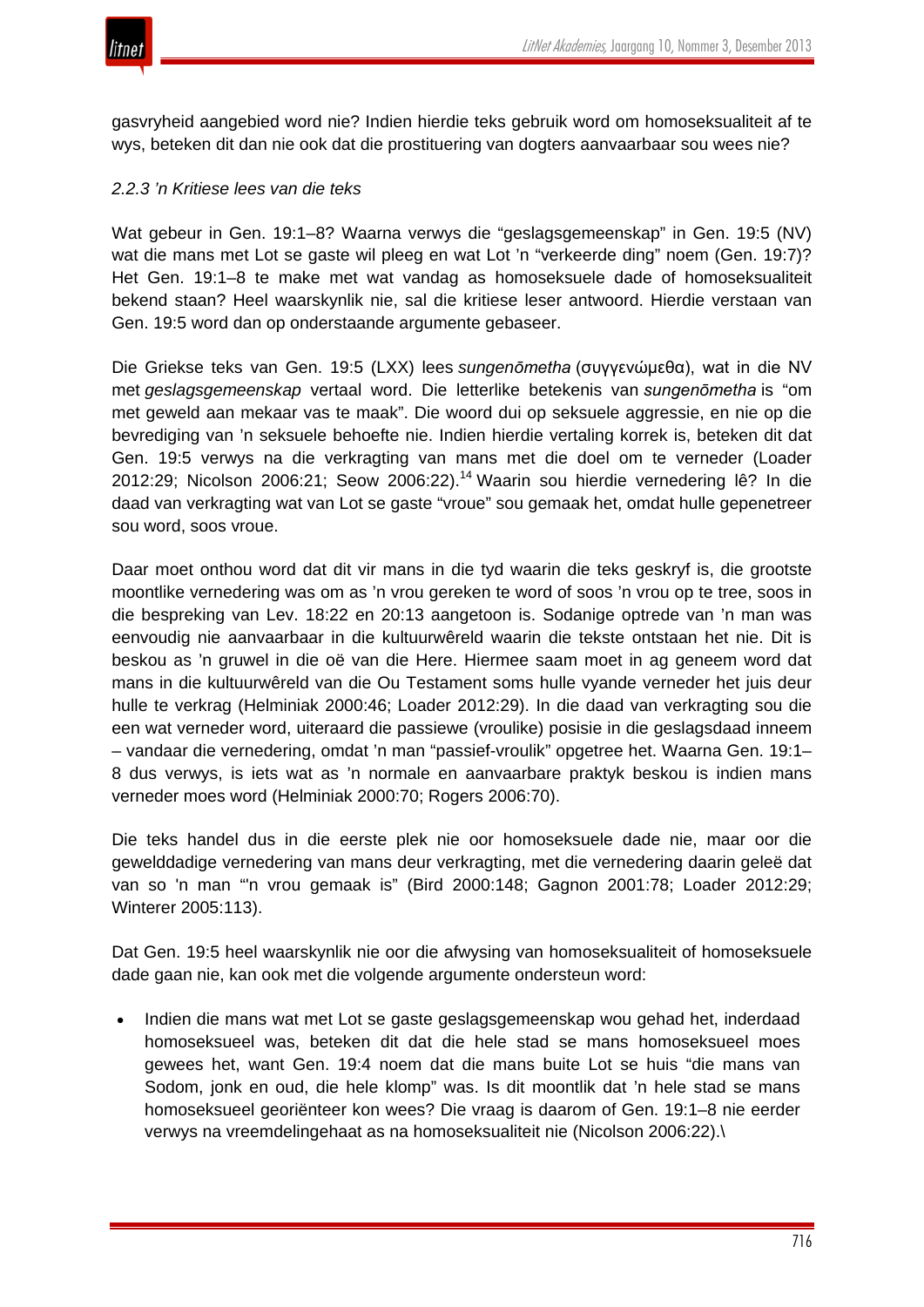

gasvryheid aangebied word nie? Indien hierdie teks gebruik word om homoseksualiteit af te wys, beteken dit dan nie ook dat die prostituering van dogters aanvaarbaar sou wees nie?

## *2.2.3 'n Kritiese lees van die teks*

Wat gebeur in Gen. 19:1–8? Waarna verwys die "geslagsgemeenskap" in Gen. 19:5 (NV) wat die mans met Lot se gaste wil pleeg en wat Lot 'n "verkeerde ding" noem (Gen. 19:7)? Het Gen. 19:1–8 te make met wat vandag as homoseksuele dade of homoseksualiteit bekend staan? Heel waarskynlik nie, sal die kritiese leser antwoord. Hierdie verstaan van Gen. 19:5 word dan op onderstaande argumente gebaseer.

Die Griekse teks van Gen. 19:5 (LXX) lees *sungenōmetha* (συγγενώμεθα), wat in die NV met *geslagsgemeenskap* vertaal word. Die letterlike betekenis van *sungenōmetha* is "om met geweld aan mekaar vas te maak". Die woord dui op seksuele aggressie, en nie op die bevrediging van 'n seksuele behoefte nie. Indien hierdie vertaling korrek is, beteken dit dat Gen. 19:5 verwys na die verkragting van mans met die doel om te verneder (Loader 2012:29; Nicolson 2006:21; Seow 2006:22).<sup>14</sup> Waarin sou hierdie vernedering lê? In die daad van verkragting wat van Lot se gaste "vroue" sou gemaak het, omdat hulle gepenetreer sou word, soos vroue.

Daar moet onthou word dat dit vir mans in die tyd waarin die teks geskryf is, die grootste moontlike vernedering was om as 'n vrou gereken te word of soos 'n vrou op te tree, soos in die bespreking van Lev. 18:22 en 20:13 aangetoon is. Sodanige optrede van 'n man was eenvoudig nie aanvaarbaar in die kultuurwêreld waarin die tekste ontstaan het nie. Dit is beskou as 'n gruwel in die oë van die Here. Hiermee saam moet in ag geneem word dat mans in die kultuurwêreld van die Ou Testament soms hulle vyande verneder het juis deur hulle te verkrag (Helminiak 2000:46; Loader 2012:29). In die daad van verkragting sou die een wat verneder word, uiteraard die passiewe (vroulike) posisie in die geslagsdaad inneem – vandaar die vernedering, omdat 'n man "passief-vroulik" opgetree het. Waarna Gen. 19:1– 8 dus verwys, is iets wat as 'n normale en aanvaarbare praktyk beskou is indien mans verneder moes word (Helminiak 2000:70; Rogers 2006:70).

Die teks handel dus in die eerste plek nie oor homoseksuele dade nie, maar oor die gewelddadige vernedering van mans deur verkragting, met die vernedering daarin geleë dat van so 'n man "'n vrou gemaak is" (Bird 2000:148; Gagnon 2001:78; Loader 2012:29; Winterer 2005:113).

Dat Gen. 19:5 heel waarskynlik nie oor die afwysing van homoseksualiteit of homoseksuele dade gaan nie, kan ook met die volgende argumente ondersteun word:

• Indien die mans wat met Lot se gaste geslagsgemeenskap wou gehad het, inderdaad homoseksueel was, beteken dit dat die hele stad se mans homoseksueel moes gewees het, want Gen. 19:4 noem dat die mans buite Lot se huis "die mans van Sodom, jonk en oud, die hele klomp" was. Is dit moontlik dat 'n hele stad se mans homoseksueel georiënteer kon wees? Die vraag is daarom of Gen. 19:1–8 nie eerder verwys na vreemdelingehaat as na homoseksualiteit nie (Nicolson 2006:22).\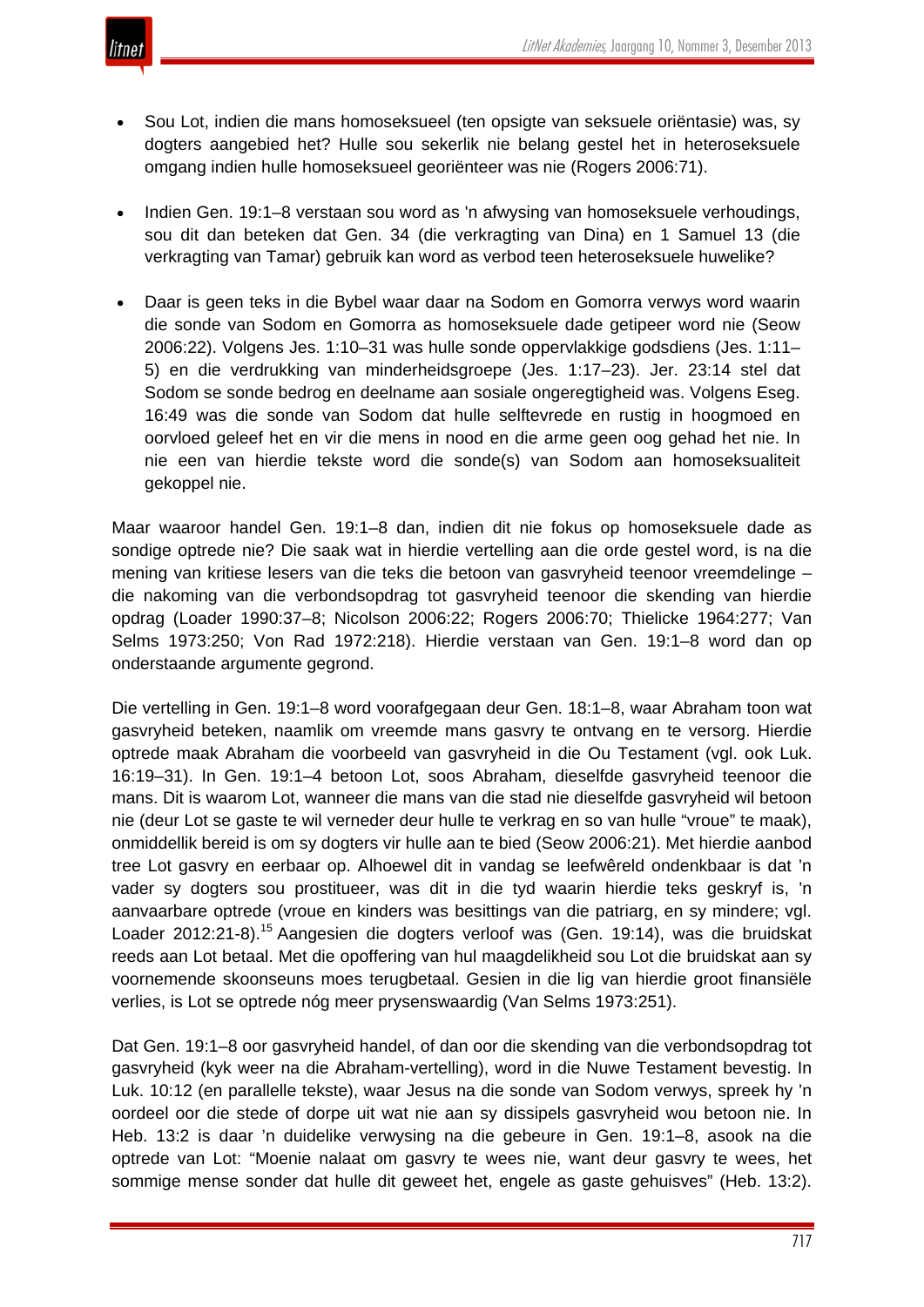- - Sou Lot, indien die mans homoseksueel (ten opsigte van seksuele oriëntasie) was, sy dogters aangebied het? Hulle sou sekerlik nie belang gestel het in heteroseksuele omgang indien hulle homoseksueel georiënteer was nie (Rogers 2006:71).
	- Indien Gen. 19:1–8 verstaan sou word as 'n afwysing van homoseksuele verhoudings, sou dit dan beteken dat Gen. 34 (die verkragting van Dina) en 1 Samuel 13 (die verkragting van Tamar) gebruik kan word as verbod teen heteroseksuele huwelike?
	- Daar is geen teks in die Bybel waar daar na Sodom en Gomorra verwys word waarin die sonde van Sodom en Gomorra as homoseksuele dade getipeer word nie (Seow 2006:22). Volgens Jes. 1:10–31 was hulle sonde oppervlakkige godsdiens (Jes. 1:11– 5) en die verdrukking van minderheidsgroepe (Jes. 1:17–23). Jer. 23:14 stel dat Sodom se sonde bedrog en deelname aan sosiale ongeregtigheid was. Volgens Eseg. 16:49 was die sonde van Sodom dat hulle selftevrede en rustig in hoogmoed en oorvloed geleef het en vir die mens in nood en die arme geen oog gehad het nie. In nie een van hierdie tekste word die sonde(s) van Sodom aan homoseksualiteit gekoppel nie.

Maar waaroor handel Gen. 19:1–8 dan, indien dit nie fokus op homoseksuele dade as sondige optrede nie? Die saak wat in hierdie vertelling aan die orde gestel word, is na die mening van kritiese lesers van die teks die betoon van gasvryheid teenoor vreemdelinge – die nakoming van die verbondsopdrag tot gasvryheid teenoor die skending van hierdie opdrag (Loader 1990:37–8; Nicolson 2006:22; Rogers 2006:70; Thielicke 1964:277; Van Selms 1973:250; Von Rad 1972:218). Hierdie verstaan van Gen. 19:1–8 word dan op onderstaande argumente gegrond.

Die vertelling in Gen. 19:1–8 word voorafgegaan deur Gen. 18:1–8, waar Abraham toon wat gasvryheid beteken, naamlik om vreemde mans gasvry te ontvang en te versorg. Hierdie optrede maak Abraham die voorbeeld van gasvryheid in die Ou Testament (vgl. ook Luk. 16:19–31). In Gen. 19:1–4 betoon Lot, soos Abraham, dieselfde gasvryheid teenoor die mans. Dit is waarom Lot, wanneer die mans van die stad nie dieselfde gasvryheid wil betoon nie (deur Lot se gaste te wil verneder deur hulle te verkrag en so van hulle "vroue" te maak), onmiddellik bereid is om sy dogters vir hulle aan te bied (Seow 2006:21). Met hierdie aanbod tree Lot gasvry en eerbaar op. Alhoewel dit in vandag se leefwêreld ondenkbaar is dat 'n vader sy dogters sou prostitueer, was dit in die tyd waarin hierdie teks geskryf is, 'n aanvaarbare optrede (vroue en kinders was besittings van die patriarg, en sy mindere; vgl. Loader 2012:21-8).<sup>15</sup> Aangesien die dogters verloof was (Gen. 19:14), was die bruidskat reeds aan Lot betaal. Met die opoffering van hul maagdelikheid sou Lot die bruidskat aan sy voornemende skoonseuns moes terugbetaal. Gesien in die lig van hierdie groot finansiële verlies, is Lot se optrede nóg meer prysenswaardig (Van Selms 1973:251).

Dat Gen. 19:1–8 oor gasvryheid handel, of dan oor die skending van die verbondsopdrag tot gasvryheid (kyk weer na die Abraham-vertelling), word in die Nuwe Testament bevestig. In Luk. 10:12 (en parallelle tekste), waar Jesus na die sonde van Sodom verwys, spreek hy 'n oordeel oor die stede of dorpe uit wat nie aan sy dissipels gasvryheid wou betoon nie. In Heb. 13:2 is daar 'n duidelike verwysing na die gebeure in Gen. 19:1–8, asook na die optrede van Lot: "Moenie nalaat om gasvry te wees nie, want deur gasvry te wees, het sommige mense sonder dat hulle dit geweet het, engele as gaste gehuisves" (Heb. 13:2).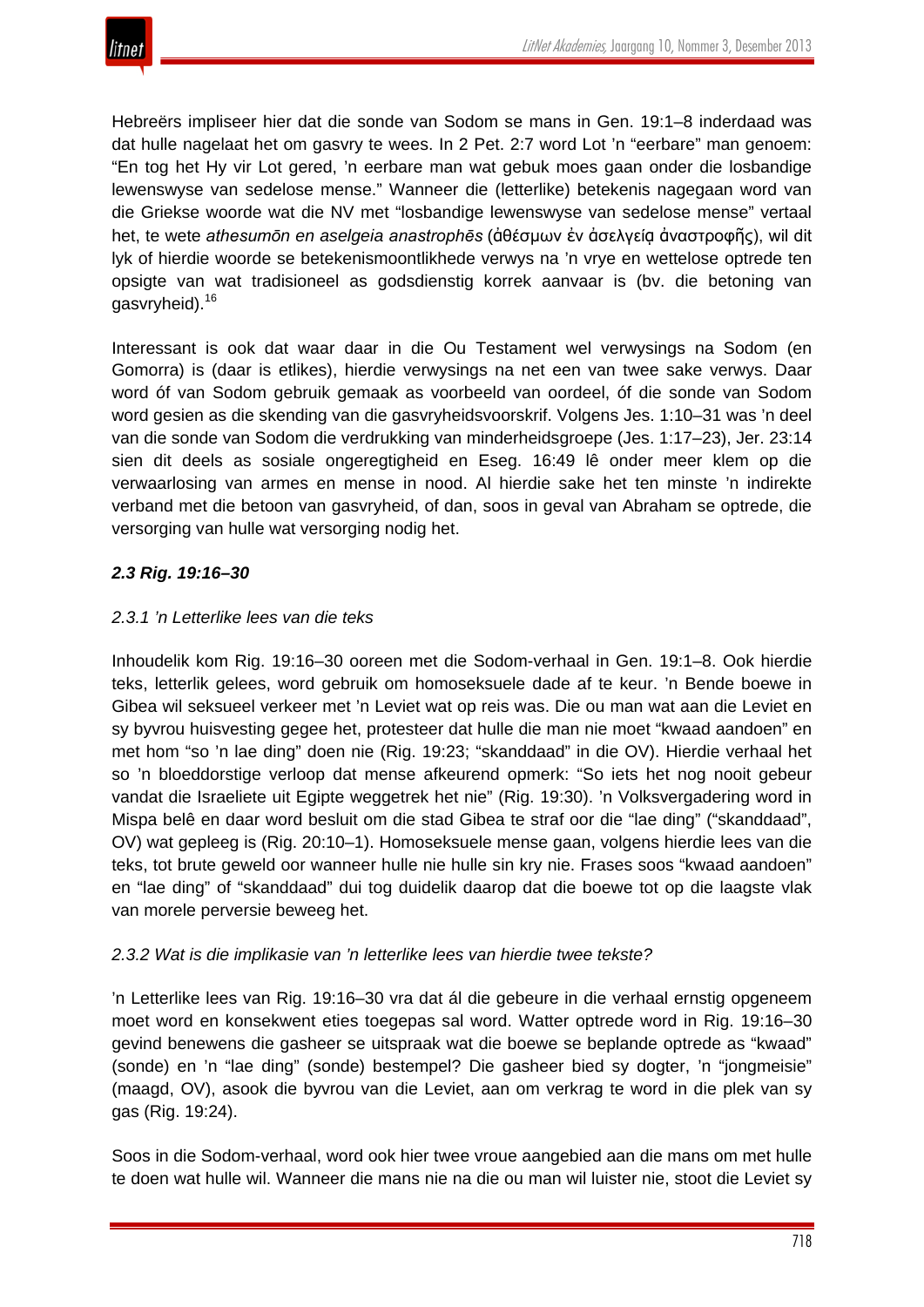

Hebreërs impliseer hier dat die sonde van Sodom se mans in Gen. 19:1–8 inderdaad was dat hulle nagelaat het om gasvry te wees. In 2 Pet. 2:7 word Lot 'n "eerbare" man genoem: "En tog het Hy vir Lot gered, 'n eerbare man wat gebuk moes gaan onder die losbandige lewenswyse van sedelose mense." Wanneer die (letterlike) betekenis nagegaan word van die Griekse woorde wat die NV met "losbandige lewenswyse van sedelose mense" vertaal het, te wete *athesumōn en aselgeia anastrophēs* (ἀθέσμων ἐν ἀσελγείᾳ ἀναστροφῆς), wil dit lyk of hierdie woorde se betekenismoontlikhede verwys na 'n vrye en wettelose optrede ten opsigte van wat tradisioneel as godsdienstig korrek aanvaar is (bv. die betoning van gasvryheid).<sup>16</sup>

Interessant is ook dat waar daar in die Ou Testament wel verwysings na Sodom (en Gomorra) is (daar is etlikes), hierdie verwysings na net een van twee sake verwys. Daar word óf van Sodom gebruik gemaak as voorbeeld van oordeel, óf die sonde van Sodom word gesien as die skending van die gasvryheidsvoorskrif. Volgens Jes. 1:10–31 was 'n deel van die sonde van Sodom die verdrukking van minderheidsgroepe (Jes. 1:17–23), Jer. 23:14 sien dit deels as sosiale ongeregtigheid en Eseg. 16:49 lê onder meer klem op die verwaarlosing van armes en mense in nood. Al hierdie sake het ten minste 'n indirekte verband met die betoon van gasvryheid, of dan, soos in geval van Abraham se optrede, die versorging van hulle wat versorging nodig het.

# *2.3 Rig. 19:16–30*

# *2.3.1 'n Letterlike lees van die teks*

Inhoudelik kom Rig. 19:16–30 ooreen met die Sodom-verhaal in Gen. 19:1–8. Ook hierdie teks, letterlik gelees, word gebruik om homoseksuele dade af te keur. 'n Bende boewe in Gibea wil seksueel verkeer met 'n Leviet wat op reis was. Die ou man wat aan die Leviet en sy byvrou huisvesting gegee het, protesteer dat hulle die man nie moet "kwaad aandoen" en met hom "so 'n lae ding" doen nie (Rig. 19:23; "skanddaad" in die OV). Hierdie verhaal het so 'n bloeddorstige verloop dat mense afkeurend opmerk: "So iets het nog nooit gebeur vandat die Israeliete uit Egipte weggetrek het nie" (Rig. 19:30). 'n Volksvergadering word in Mispa belê en daar word besluit om die stad Gibea te straf oor die "lae ding" ("skanddaad", OV) wat gepleeg is (Rig. 20:10–1). Homoseksuele mense gaan, volgens hierdie lees van die teks, tot brute geweld oor wanneer hulle nie hulle sin kry nie. Frases soos "kwaad aandoen" en "lae ding" of "skanddaad" dui tog duidelik daarop dat die boewe tot op die laagste vlak van morele perversie beweeg het.

# *2.3.2 Wat is die implikasie van 'n letterlike lees van hierdie twee tekste?*

'n Letterlike lees van Rig. 19:16–30 vra dat ál die gebeure in die verhaal ernstig opgeneem moet word en konsekwent eties toegepas sal word. Watter optrede word in Rig. 19:16–30 gevind benewens die gasheer se uitspraak wat die boewe se beplande optrede as "kwaad" (sonde) en 'n "lae ding" (sonde) bestempel? Die gasheer bied sy dogter, 'n "jongmeisie" (maagd, OV), asook die byvrou van die Leviet, aan om verkrag te word in die plek van sy gas (Rig. 19:24).

Soos in die Sodom-verhaal, word ook hier twee vroue aangebied aan die mans om met hulle te doen wat hulle wil. Wanneer die mans nie na die ou man wil luister nie, stoot die Leviet sy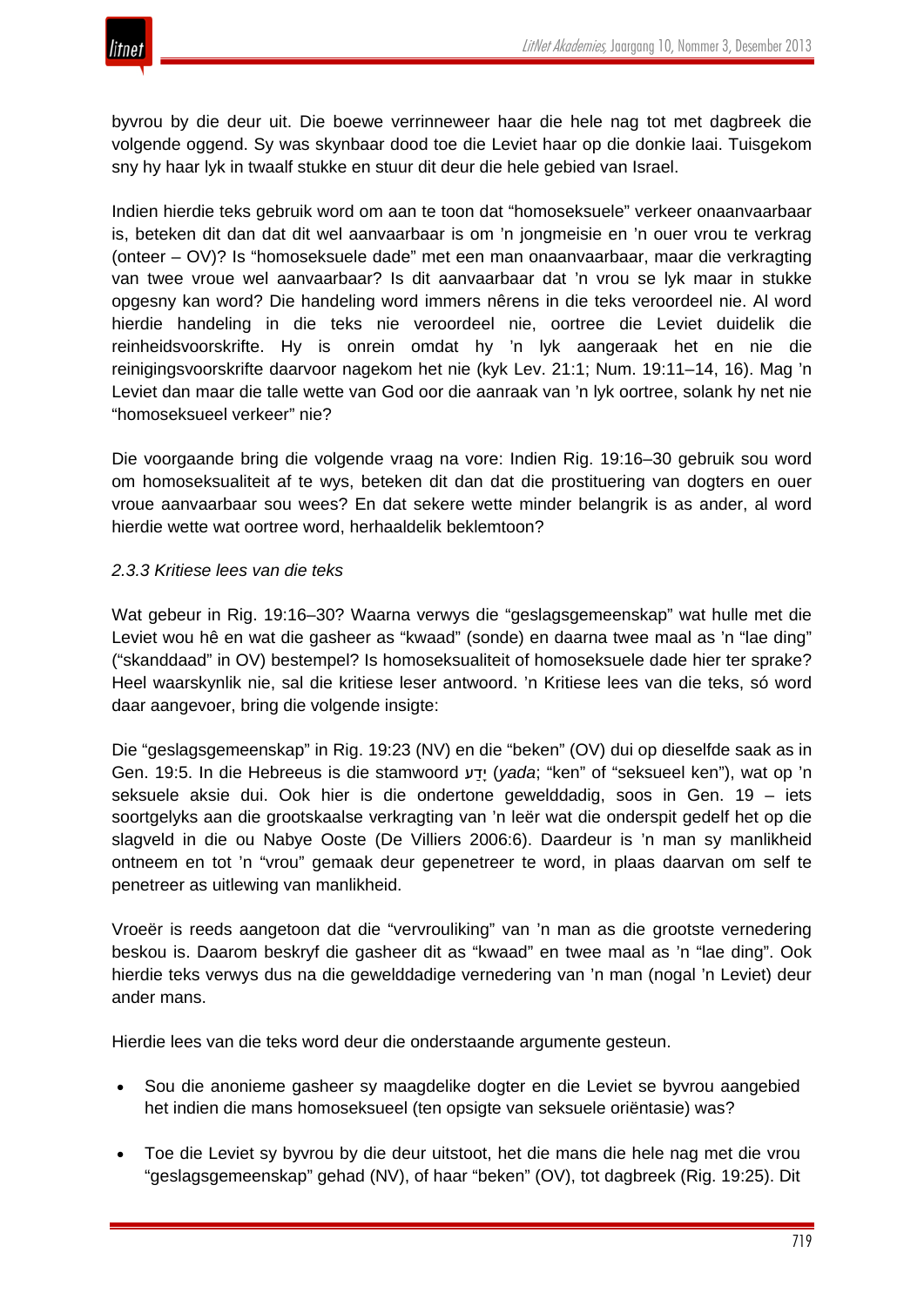

byvrou by die deur uit. Die boewe verrinneweer haar die hele nag tot met dagbreek die volgende oggend. Sy was skynbaar dood toe die Leviet haar op die donkie laai. Tuisgekom sny hy haar lyk in twaalf stukke en stuur dit deur die hele gebied van Israel.

Indien hierdie teks gebruik word om aan te toon dat "homoseksuele" verkeer onaanvaarbaar is, beteken dit dan dat dit wel aanvaarbaar is om 'n jongmeisie en 'n ouer vrou te verkrag (onteer – OV)? Is "homoseksuele dade" met een man onaanvaarbaar, maar die verkragting van twee vroue wel aanvaarbaar? Is dit aanvaarbaar dat 'n vrou se lyk maar in stukke opgesny kan word? Die handeling word immers nêrens in die teks veroordeel nie. Al word hierdie handeling in die teks nie veroordeel nie, oortree die Leviet duidelik die reinheidsvoorskrifte. Hy is onrein omdat hy 'n lyk aangeraak het en nie die reinigingsvoorskrifte daarvoor nagekom het nie (kyk Lev. 21:1; Num. 19:11–14, 16). Mag 'n Leviet dan maar die talle wette van God oor die aanraak van 'n lyk oortree, solank hy net nie "homoseksueel verkeer" nie?

Die voorgaande bring die volgende vraag na vore: Indien Rig. 19:16–30 gebruik sou word om homoseksualiteit af te wys, beteken dit dan dat die prostituering van dogters en ouer vroue aanvaarbaar sou wees? En dat sekere wette minder belangrik is as ander, al word hierdie wette wat oortree word, herhaaldelik beklemtoon?

# *2.3.3 Kritiese lees van die teks*

Wat gebeur in Rig. 19:16–30? Waarna verwys die "geslagsgemeenskap" wat hulle met die Leviet wou hê en wat die gasheer as "kwaad" (sonde) en daarna twee maal as 'n "lae ding" ("skanddaad" in OV) bestempel? Is homoseksualiteit of homoseksuele dade hier ter sprake? Heel waarskynlik nie, sal die kritiese leser antwoord. 'n Kritiese lees van die teks, só word daar aangevoer, bring die volgende insigte:

Die "geslagsgemeenskap" in Rig. 19:23 (NV) en die "beken" (OV) dui op dieselfde saak as in Gen. 19:5. In die Hebreeus is die stamwoord עַדָי) *yada*; "ken" of "seksueel ken"), wat op 'n seksuele aksie dui. Ook hier is die ondertone gewelddadig, soos in Gen. 19 – iets soortgelyks aan die grootskaalse verkragting van 'n leër wat die onderspit gedelf het op die slagveld in die ou Nabye Ooste (De Villiers 2006:6). Daardeur is 'n man sy manlikheid ontneem en tot 'n "vrou" gemaak deur gepenetreer te word, in plaas daarvan om self te penetreer as uitlewing van manlikheid.

Vroeër is reeds aangetoon dat die "vervrouliking" van 'n man as die grootste vernedering beskou is. Daarom beskryf die gasheer dit as "kwaad" en twee maal as 'n "lae ding". Ook hierdie teks verwys dus na die gewelddadige vernedering van 'n man (nogal 'n Leviet) deur ander mans.

Hierdie lees van die teks word deur die onderstaande argumente gesteun.

- Sou die anonieme gasheer sy maagdelike dogter en die Leviet se byvrou aangebied het indien die mans homoseksueel (ten opsigte van seksuele oriëntasie) was?
- Toe die Leviet sy byvrou by die deur uitstoot, het die mans die hele nag met die vrou "geslagsgemeenskap" gehad (NV), of haar "beken" (OV), tot dagbreek (Rig. 19:25). Dit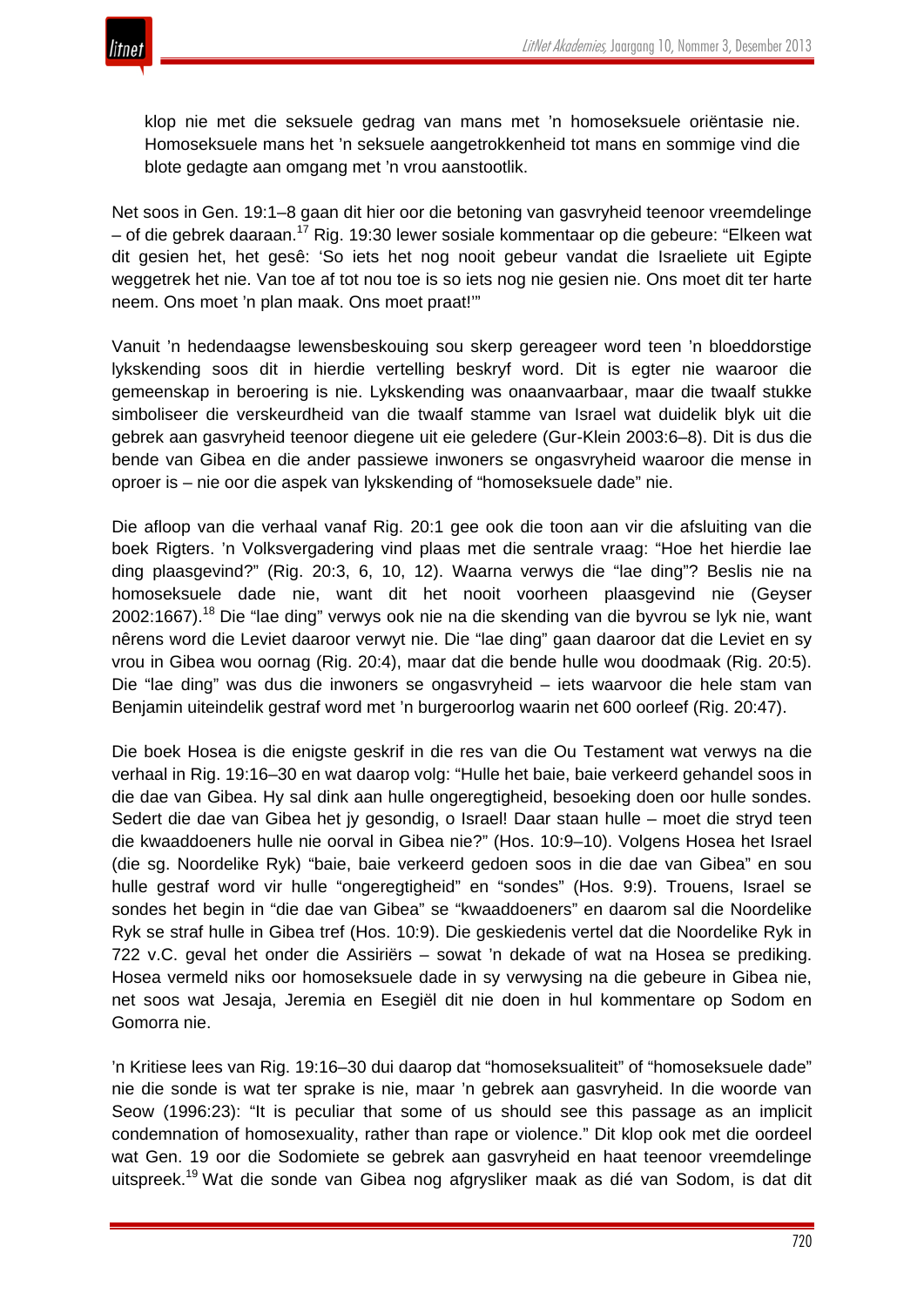

klop nie met die seksuele gedrag van mans met 'n homoseksuele oriëntasie nie. Homoseksuele mans het 'n seksuele aangetrokkenheid tot mans en sommige vind die blote gedagte aan omgang met 'n vrou aanstootlik.

Net soos in Gen. 19:1–8 gaan dit hier oor die betoning van gasvryheid teenoor vreemdelinge – of die gebrek daaraan.<sup>17</sup> Rig. 19:30 lewer sosiale kommentaar op die gebeure: "Elkeen wat dit gesien het, het gesê: 'So iets het nog nooit gebeur vandat die Israeliete uit Egipte weggetrek het nie. Van toe af tot nou toe is so iets nog nie gesien nie. Ons moet dit ter harte neem. Ons moet 'n plan maak. Ons moet praat!'"

Vanuit 'n hedendaagse lewensbeskouing sou skerp gereageer word teen 'n bloeddorstige lykskending soos dit in hierdie vertelling beskryf word. Dit is egter nie waaroor die gemeenskap in beroering is nie. Lykskending was onaanvaarbaar, maar die twaalf stukke simboliseer die verskeurdheid van die twaalf stamme van Israel wat duidelik blyk uit die gebrek aan gasvryheid teenoor diegene uit eie geledere (Gur-Klein 2003:6–8). Dit is dus die bende van Gibea en die ander passiewe inwoners se ongasvryheid waaroor die mense in oproer is – nie oor die aspek van lykskending of "homoseksuele dade" nie.

Die afloop van die verhaal vanaf Rig. 20:1 gee ook die toon aan vir die afsluiting van die boek Rigters. 'n Volksvergadering vind plaas met die sentrale vraag: "Hoe het hierdie lae ding plaasgevind?" (Rig. 20:3, 6, 10, 12). Waarna verwys die "lae ding"? Beslis nie na homoseksuele dade nie, want dit het nooit voorheen plaasgevind nie (Geyser 2002:1667).<sup>18</sup> Die "lae ding" verwys ook nie na die skending van die byvrou se lyk nie, want nêrens word die Leviet daaroor verwyt nie. Die "lae ding" gaan daaroor dat die Leviet en sy vrou in Gibea wou oornag (Rig. 20:4), maar dat die bende hulle wou doodmaak (Rig. 20:5). Die "lae ding" was dus die inwoners se ongasvryheid – iets waarvoor die hele stam van Benjamin uiteindelik gestraf word met 'n burgeroorlog waarin net 600 oorleef (Rig. 20:47).

Die boek Hosea is die enigste geskrif in die res van die Ou Testament wat verwys na die verhaal in Rig. 19:16–30 en wat daarop volg: "Hulle het baie, baie verkeerd gehandel soos in die dae van Gibea. Hy sal dink aan hulle ongeregtigheid, besoeking doen oor hulle sondes. Sedert die dae van Gibea het jy gesondig, o Israel! Daar staan hulle – moet die stryd teen die kwaaddoeners hulle nie oorval in Gibea nie?" (Hos. 10:9–10). Volgens Hosea het Israel (die sg. Noordelike Ryk) "baie, baie verkeerd gedoen soos in die dae van Gibea" en sou hulle gestraf word vir hulle "ongeregtigheid" en "sondes" (Hos. 9:9). Trouens, Israel se sondes het begin in "die dae van Gibea" se "kwaaddoeners" en daarom sal die Noordelike Ryk se straf hulle in Gibea tref (Hos. 10:9). Die geskiedenis vertel dat die Noordelike Ryk in 722 v.C. geval het onder die Assiriërs – sowat 'n dekade of wat na Hosea se prediking. Hosea vermeld niks oor homoseksuele dade in sy verwysing na die gebeure in Gibea nie, net soos wat Jesaja, Jeremia en Esegiël dit nie doen in hul kommentare op Sodom en Gomorra nie.

'n Kritiese lees van Rig. 19:16–30 dui daarop dat "homoseksualiteit" of "homoseksuele dade" nie die sonde is wat ter sprake is nie, maar 'n gebrek aan gasvryheid. In die woorde van Seow (1996:23): "It is peculiar that some of us should see this passage as an implicit condemnation of homosexuality, rather than rape or violence." Dit klop ook met die oordeel wat Gen. 19 oor die Sodomiete se gebrek aan gasvryheid en haat teenoor vreemdelinge uitspreek.<sup>19</sup> Wat die sonde van Gibea nog afgrysliker maak as dié van Sodom, is dat dit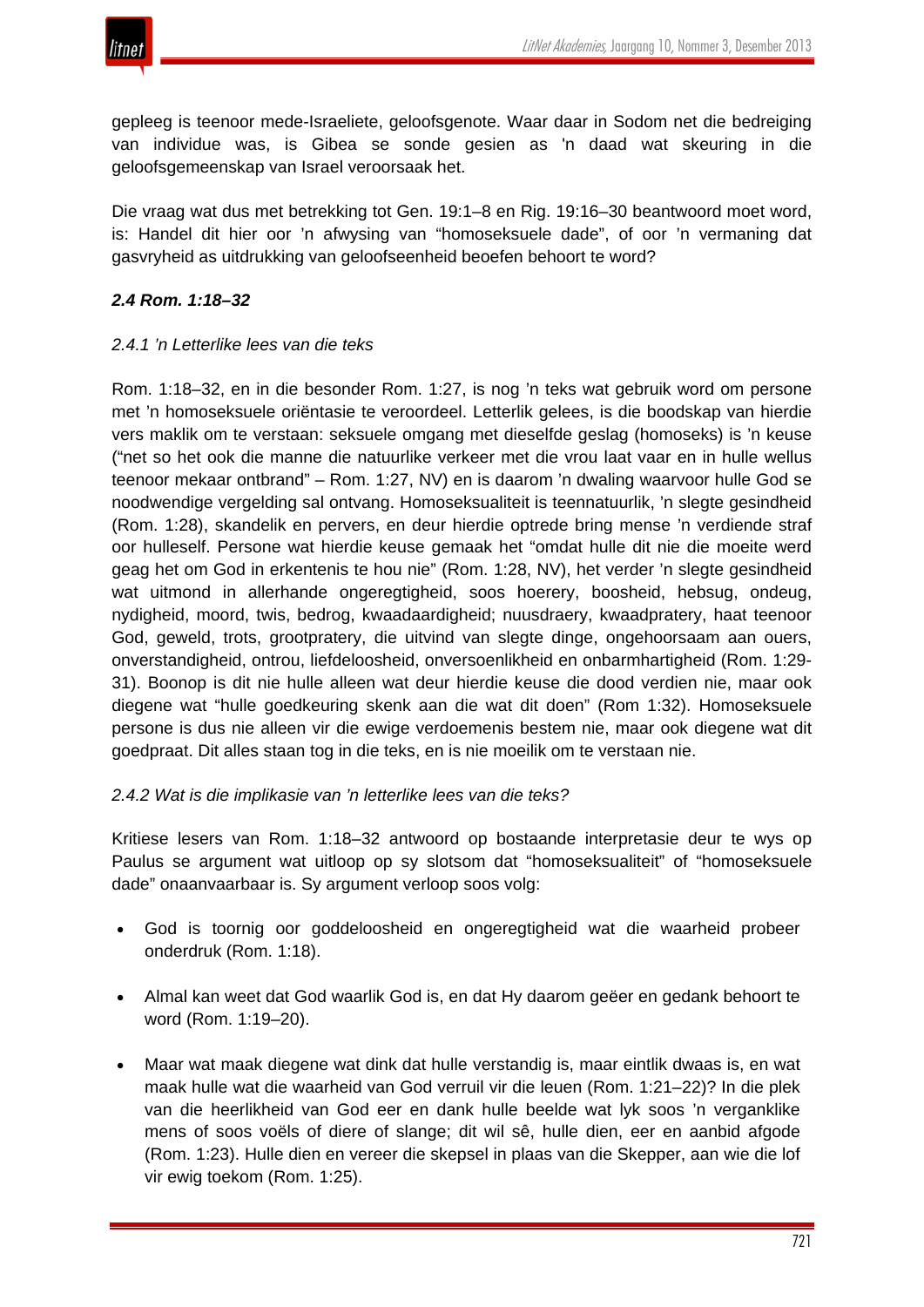

gepleeg is teenoor mede-Israeliete, geloofsgenote. Waar daar in Sodom net die bedreiging van individue was, is Gibea se sonde gesien as 'n daad wat skeuring in die geloofsgemeenskap van Israel veroorsaak het.

Die vraag wat dus met betrekking tot Gen. 19:1–8 en Rig. 19:16–30 beantwoord moet word, is: Handel dit hier oor 'n afwysing van "homoseksuele dade", of oor 'n vermaning dat gasvryheid as uitdrukking van geloofseenheid beoefen behoort te word?

# *2.4 Rom. 1:18–32*

# *2.4.1 'n Letterlike lees van die teks*

Rom. 1:18–32, en in die besonder Rom. 1:27, is nog 'n teks wat gebruik word om persone met 'n homoseksuele oriëntasie te veroordeel. Letterlik gelees, is die boodskap van hierdie vers maklik om te verstaan: seksuele omgang met dieselfde geslag (homoseks) is 'n keuse ("net so het ook die manne die natuurlike verkeer met die vrou laat vaar en in hulle wellus teenoor mekaar ontbrand" – Rom. 1:27, NV) en is daarom 'n dwaling waarvoor hulle God se noodwendige vergelding sal ontvang. Homoseksualiteit is teennatuurlik, 'n slegte gesindheid (Rom. 1:28), skandelik en pervers, en deur hierdie optrede bring mense 'n verdiende straf oor hulleself. Persone wat hierdie keuse gemaak het "omdat hulle dit nie die moeite werd geag het om God in erkentenis te hou nie" (Rom. 1:28, NV), het verder 'n slegte gesindheid wat uitmond in allerhande ongeregtigheid, soos hoerery, boosheid, hebsug, ondeug, nydigheid, moord, twis, bedrog, kwaadaardigheid; nuusdraery, kwaadpratery, haat teenoor God, geweld, trots, grootpratery, die uitvind van slegte dinge, ongehoorsaam aan ouers, onverstandigheid, ontrou, liefdeloosheid, onversoenlikheid en onbarmhartigheid (Rom. 1:29- 31). Boonop is dit nie hulle alleen wat deur hierdie keuse die dood verdien nie, maar ook diegene wat "hulle goedkeuring skenk aan die wat dit doen" (Rom 1:32). Homoseksuele persone is dus nie alleen vir die ewige verdoemenis bestem nie, maar ook diegene wat dit goedpraat. Dit alles staan tog in die teks, en is nie moeilik om te verstaan nie.

# *2.4.2 Wat is die implikasie van 'n letterlike lees van die teks?*

Kritiese lesers van Rom. 1:18–32 antwoord op bostaande interpretasie deur te wys op Paulus se argument wat uitloop op sy slotsom dat "homoseksualiteit" of "homoseksuele dade" onaanvaarbaar is. Sy argument verloop soos volg:

- God is toornig oor goddeloosheid en ongeregtigheid wat die waarheid probeer onderdruk (Rom. 1:18).
- Almal kan weet dat God waarlik God is, en dat Hy daarom geëer en gedank behoort te word (Rom. 1:19–20).
- Maar wat maak diegene wat dink dat hulle verstandig is, maar eintlik dwaas is, en wat maak hulle wat die waarheid van God verruil vir die leuen (Rom. 1:21–22)? In die plek van die heerlikheid van God eer en dank hulle beelde wat lyk soos 'n verganklike mens of soos voëls of diere of slange; dit wil sê, hulle dien, eer en aanbid afgode (Rom. 1:23). Hulle dien en vereer die skepsel in plaas van die Skepper, aan wie die lof vir ewig toekom (Rom. 1:25).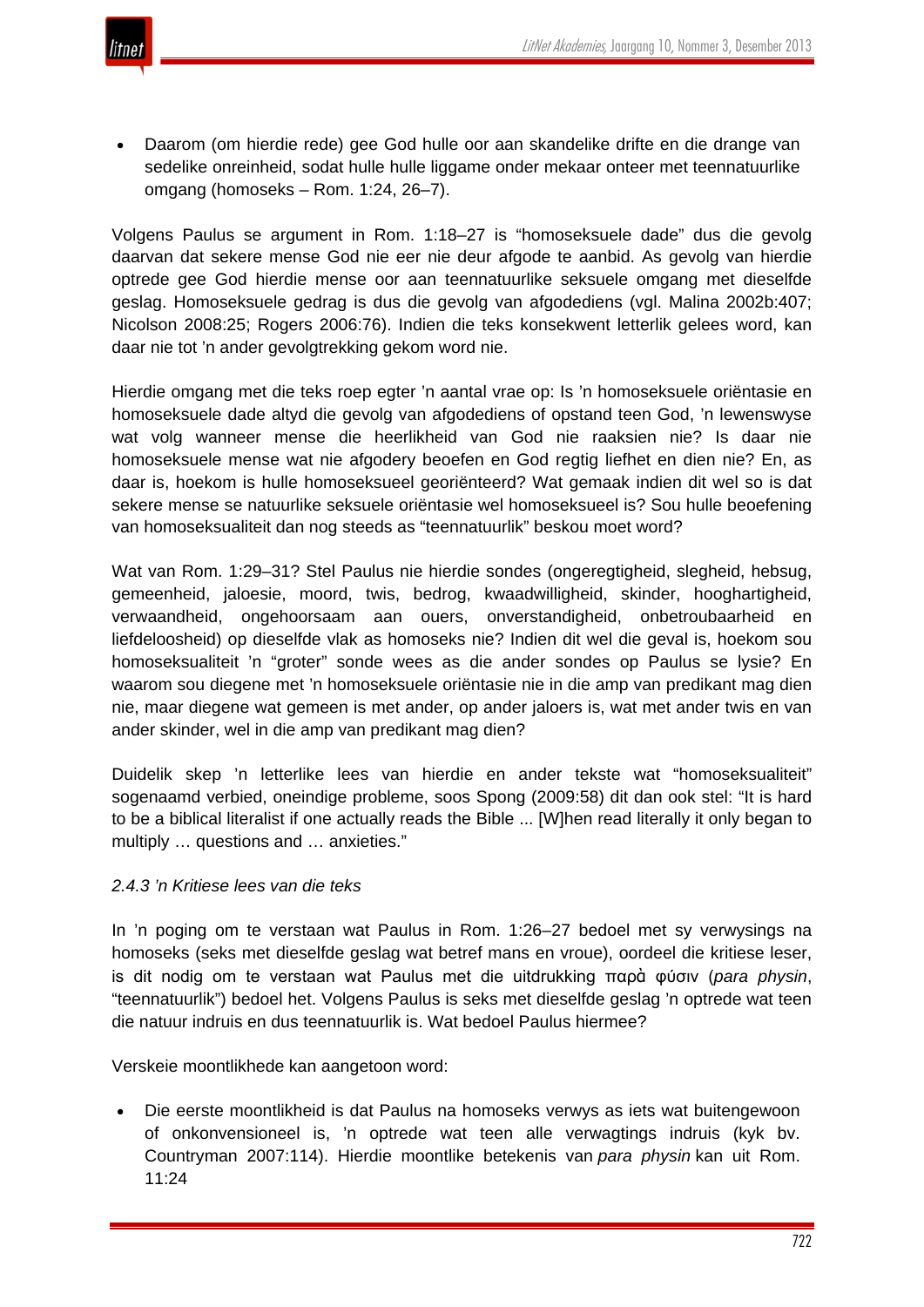

• Daarom (om hierdie rede) gee God hulle oor aan skandelike drifte en die drange van sedelike onreinheid, sodat hulle hulle liggame onder mekaar onteer met teennatuurlike omgang (homoseks – Rom. 1:24, 26–7).

Volgens Paulus se argument in Rom. 1:18–27 is "homoseksuele dade" dus die gevolg daarvan dat sekere mense God nie eer nie deur afgode te aanbid. As gevolg van hierdie optrede gee God hierdie mense oor aan teennatuurlike seksuele omgang met dieselfde geslag. Homoseksuele gedrag is dus die gevolg van afgodediens (vgl. Malina 2002b:407; Nicolson 2008:25; Rogers 2006:76). Indien die teks konsekwent letterlik gelees word, kan daar nie tot 'n ander gevolgtrekking gekom word nie.

Hierdie omgang met die teks roep egter 'n aantal vrae op: Is 'n homoseksuele oriëntasie en homoseksuele dade altyd die gevolg van afgodediens of opstand teen God, 'n lewenswyse wat volg wanneer mense die heerlikheid van God nie raaksien nie? Is daar nie homoseksuele mense wat nie afgodery beoefen en God regtig liefhet en dien nie? En, as daar is, hoekom is hulle homoseksueel georiënteerd? Wat gemaak indien dit wel so is dat sekere mense se natuurlike seksuele oriëntasie wel homoseksueel is? Sou hulle beoefening van homoseksualiteit dan nog steeds as "teennatuurlik" beskou moet word?

Wat van Rom. 1:29–31? Stel Paulus nie hierdie sondes (ongeregtigheid, slegheid, hebsug, gemeenheid, jaloesie, moord, twis, bedrog, kwaadwilligheid, skinder, hooghartigheid, verwaandheid, ongehoorsaam aan ouers, onverstandigheid, onbetroubaarheid en liefdeloosheid) op dieselfde vlak as homoseks nie? Indien dit wel die geval is, hoekom sou homoseksualiteit 'n "groter" sonde wees as die ander sondes op Paulus se lysie? En waarom sou diegene met 'n homoseksuele oriëntasie nie in die amp van predikant mag dien nie, maar diegene wat gemeen is met ander, op ander jaloers is, wat met ander twis en van ander skinder, wel in die amp van predikant mag dien?

Duidelik skep 'n letterlike lees van hierdie en ander tekste wat "homoseksualiteit" sogenaamd verbied, oneindige probleme, soos Spong (2009:58) dit dan ook stel: "It is hard to be a biblical literalist if one actually reads the Bible ... [W]hen read literally it only began to multiply … questions and … anxieties."

# *2.4.3 'n Kritiese lees van die teks*

In 'n poging om te verstaan wat Paulus in Rom. 1:26–27 bedoel met sy verwysings na homoseks (seks met dieselfde geslag wat betref mans en vroue), oordeel die kritiese leser, is dit nodig om te verstaan wat Paulus met die uitdrukking παρὰ φύσιν (*para physin*, "teennatuurlik") bedoel het. Volgens Paulus is seks met dieselfde geslag 'n optrede wat teen die natuur indruis en dus teennatuurlik is. Wat bedoel Paulus hiermee?

Verskeie moontlikhede kan aangetoon word:

• Die eerste moontlikheid is dat Paulus na homoseks verwys as iets wat buitengewoon of onkonvensioneel is, 'n optrede wat teen alle verwagtings indruis (kyk bv. Countryman 2007:114). Hierdie moontlike betekenis van *para physin* kan uit Rom. 11:24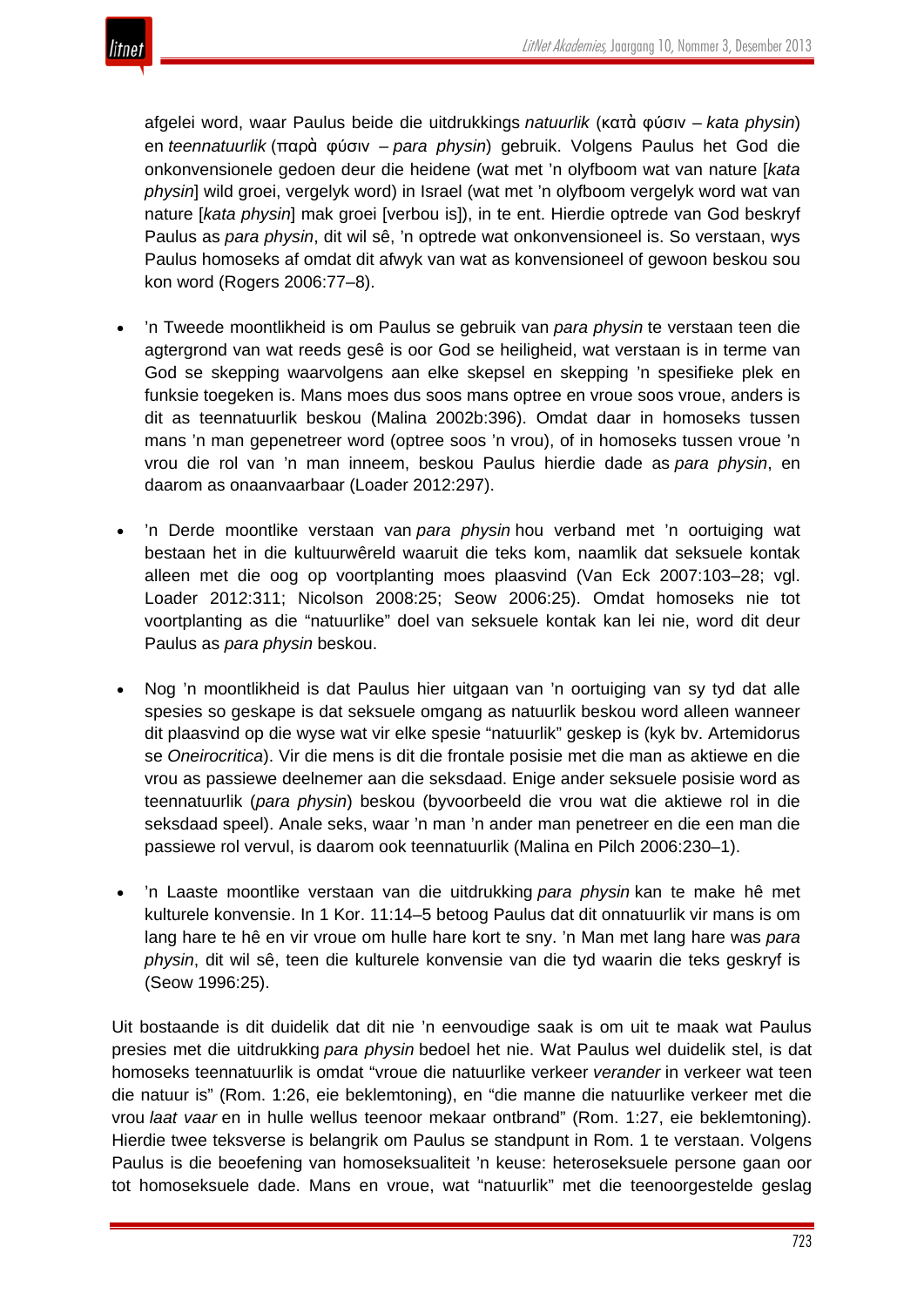

afgelei word, waar Paulus beide die uitdrukkings *natuurlik* (κατὰ φύσιν – *kata physin*) en *teennatuurlik* (παρὰ φύσιν – *para physin*) gebruik. Volgens Paulus het God die onkonvensionele gedoen deur die heidene (wat met 'n olyfboom wat van nature [*kata physin*] wild groei, vergelyk word) in Israel (wat met 'n olyfboom vergelyk word wat van nature [*kata physin*] mak groei [verbou is]), in te ent. Hierdie optrede van God beskryf Paulus as *para physin*, dit wil sê, 'n optrede wat onkonvensioneel is. So verstaan, wys Paulus homoseks af omdat dit afwyk van wat as konvensioneel of gewoon beskou sou kon word (Rogers 2006:77–8).

- 'n Tweede moontlikheid is om Paulus se gebruik van *para physin* te verstaan teen die agtergrond van wat reeds gesê is oor God se heiligheid, wat verstaan is in terme van God se skepping waarvolgens aan elke skepsel en skepping 'n spesifieke plek en funksie toegeken is. Mans moes dus soos mans optree en vroue soos vroue, anders is dit as teennatuurlik beskou (Malina 2002b:396). Omdat daar in homoseks tussen mans 'n man gepenetreer word (optree soos 'n vrou), of in homoseks tussen vroue 'n vrou die rol van 'n man inneem, beskou Paulus hierdie dade as *para physin*, en daarom as onaanvaarbaar (Loader 2012:297).
- 'n Derde moontlike verstaan van *para physin* hou verband met 'n oortuiging wat bestaan het in die kultuurwêreld waaruit die teks kom, naamlik dat seksuele kontak alleen met die oog op voortplanting moes plaasvind (Van Eck 2007:103–28; vgl. Loader 2012:311; Nicolson 2008:25; Seow 2006:25). Omdat homoseks nie tot voortplanting as die "natuurlike" doel van seksuele kontak kan lei nie, word dit deur Paulus as *para physin* beskou.
- Nog 'n moontlikheid is dat Paulus hier uitgaan van 'n oortuiging van sy tyd dat alle spesies so geskape is dat seksuele omgang as natuurlik beskou word alleen wanneer dit plaasvind op die wyse wat vir elke spesie "natuurlik" geskep is (kyk bv. Artemidorus se *Oneirocritica*). Vir die mens is dit die frontale posisie met die man as aktiewe en die vrou as passiewe deelnemer aan die seksdaad. Enige ander seksuele posisie word as teennatuurlik (*para physin*) beskou (byvoorbeeld die vrou wat die aktiewe rol in die seksdaad speel). Anale seks, waar 'n man 'n ander man penetreer en die een man die passiewe rol vervul, is daarom ook teennatuurlik (Malina en Pilch 2006:230–1).
- 'n Laaste moontlike verstaan van die uitdrukking *para physin* kan te make hê met kulturele konvensie. In 1 Kor. 11:14–5 betoog Paulus dat dit onnatuurlik vir mans is om lang hare te hê en vir vroue om hulle hare kort te sny. 'n Man met lang hare was *para physin*, dit wil sê, teen die kulturele konvensie van die tyd waarin die teks geskryf is (Seow 1996:25).

Uit bostaande is dit duidelik dat dit nie 'n eenvoudige saak is om uit te maak wat Paulus presies met die uitdrukking *para physin* bedoel het nie. Wat Paulus wel duidelik stel, is dat homoseks teennatuurlik is omdat "vroue die natuurlike verkeer *verander* in verkeer wat teen die natuur is" (Rom. 1:26, eie beklemtoning), en "die manne die natuurlike verkeer met die vrou *laat vaar* en in hulle wellus teenoor mekaar ontbrand" (Rom. 1:27, eie beklemtoning). Hierdie twee teksverse is belangrik om Paulus se standpunt in Rom. 1 te verstaan. Volgens Paulus is die beoefening van homoseksualiteit 'n keuse: heteroseksuele persone gaan oor tot homoseksuele dade. Mans en vroue, wat "natuurlik" met die teenoorgestelde geslag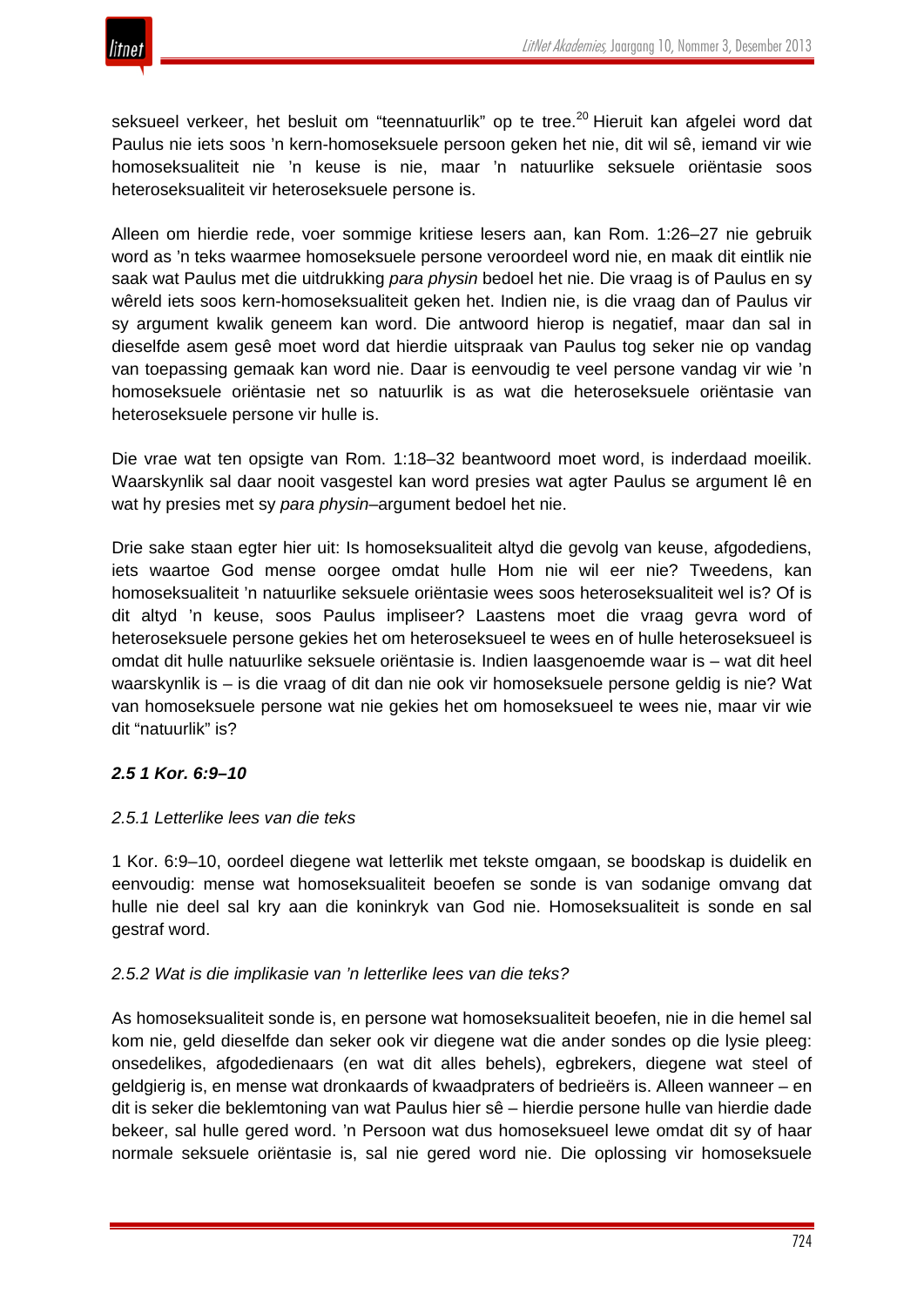

seksueel verkeer, het besluit om "teennatuurlik" op te tree.<sup>20</sup> Hieruit kan afgelei word dat Paulus nie iets soos 'n kern-homoseksuele persoon geken het nie, dit wil sê, iemand vir wie homoseksualiteit nie 'n keuse is nie, maar 'n natuurlike seksuele oriëntasie soos heteroseksualiteit vir heteroseksuele persone is.

Alleen om hierdie rede, voer sommige kritiese lesers aan, kan Rom. 1:26–27 nie gebruik word as 'n teks waarmee homoseksuele persone veroordeel word nie, en maak dit eintlik nie saak wat Paulus met die uitdrukking *para physin* bedoel het nie. Die vraag is of Paulus en sy wêreld iets soos kern-homoseksualiteit geken het. Indien nie, is die vraag dan of Paulus vir sy argument kwalik geneem kan word. Die antwoord hierop is negatief, maar dan sal in dieselfde asem gesê moet word dat hierdie uitspraak van Paulus tog seker nie op vandag van toepassing gemaak kan word nie. Daar is eenvoudig te veel persone vandag vir wie 'n homoseksuele oriëntasie net so natuurlik is as wat die heteroseksuele oriëntasie van heteroseksuele persone vir hulle is.

Die vrae wat ten opsigte van Rom. 1:18–32 beantwoord moet word, is inderdaad moeilik. Waarskynlik sal daar nooit vasgestel kan word presies wat agter Paulus se argument lê en wat hy presies met sy *para physin*–argument bedoel het nie.

Drie sake staan egter hier uit: Is homoseksualiteit altyd die gevolg van keuse, afgodediens, iets waartoe God mense oorgee omdat hulle Hom nie wil eer nie? Tweedens, kan homoseksualiteit 'n natuurlike seksuele oriëntasie wees soos heteroseksualiteit wel is? Of is dit altyd 'n keuse, soos Paulus impliseer? Laastens moet die vraag gevra word of heteroseksuele persone gekies het om heteroseksueel te wees en of hulle heteroseksueel is omdat dit hulle natuurlike seksuele oriëntasie is. Indien laasgenoemde waar is – wat dit heel waarskynlik is – is die vraag of dit dan nie ook vir homoseksuele persone geldig is nie? Wat van homoseksuele persone wat nie gekies het om homoseksueel te wees nie, maar vir wie dit "natuurlik" is?

# *2.5 1 Kor. 6:9–10*

# *2.5.1 Letterlike lees van die teks*

1 Kor. 6:9–10, oordeel diegene wat letterlik met tekste omgaan, se boodskap is duidelik en eenvoudig: mense wat homoseksualiteit beoefen se sonde is van sodanige omvang dat hulle nie deel sal kry aan die koninkryk van God nie. Homoseksualiteit is sonde en sal gestraf word.

#### *2.5.2 Wat is die implikasie van 'n letterlike lees van die teks?*

As homoseksualiteit sonde is, en persone wat homoseksualiteit beoefen, nie in die hemel sal kom nie, geld dieselfde dan seker ook vir diegene wat die ander sondes op die lysie pleeg: onsedelikes, afgodedienaars (en wat dit alles behels), egbrekers, diegene wat steel of geldgierig is, en mense wat dronkaards of kwaadpraters of bedrieërs is. Alleen wanneer – en dit is seker die beklemtoning van wat Paulus hier sê – hierdie persone hulle van hierdie dade bekeer, sal hulle gered word. 'n Persoon wat dus homoseksueel lewe omdat dit sy of haar normale seksuele oriëntasie is, sal nie gered word nie. Die oplossing vir homoseksuele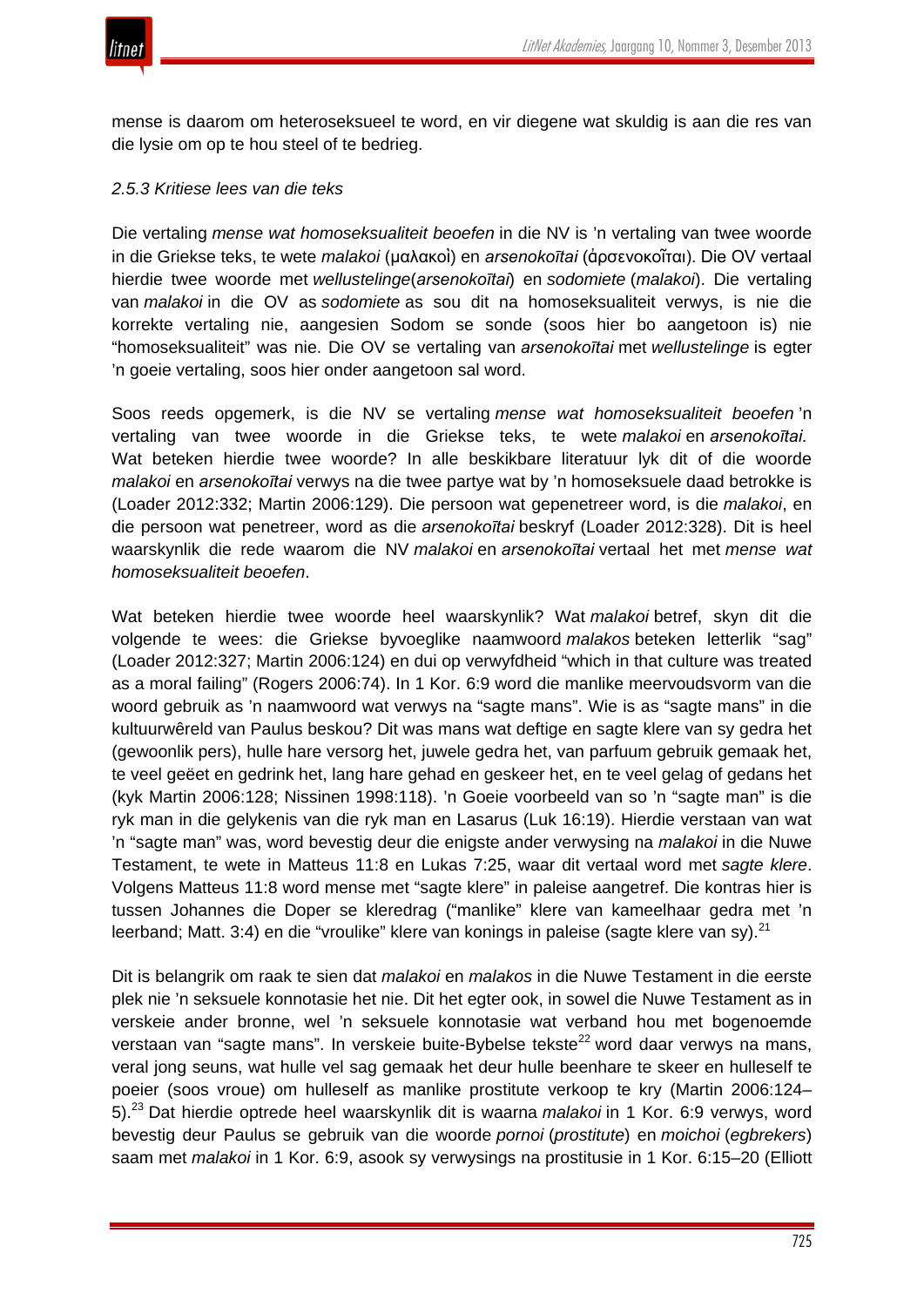

mense is daarom om heteroseksueel te word, en vir diegene wat skuldig is aan die res van die lysie om op te hou steel of te bedrieg.

## *2.5.3 Kritiese lees van die teks*

Die vertaling *mense wat homoseksualiteit beoefen* in die NV is 'n vertaling van twee woorde in die Griekse teks, te wete *malakoi* (μαλακοὶ) en *arsenokoītai* (ἀρσενοκοῖται). Die OV vertaal hierdie twee woorde met *wellustelinge*(*arsenokoītai*) en *sodomiete* (*malakoi*). Die vertaling van *malakoi* in die OV as *sodomiete* as sou dit na homoseksualiteit verwys, is nie die korrekte vertaling nie, aangesien Sodom se sonde (soos hier bo aangetoon is) nie "homoseksualiteit" was nie. Die OV se vertaling van *arsenokoītai* met *wellustelinge* is egter 'n goeie vertaling, soos hier onder aangetoon sal word.

Soos reeds opgemerk, is die NV se vertaling *mense wat homoseksualiteit beoefen* 'n vertaling van twee woorde in die Griekse teks, te wete *malakoi* en *arsenokoītai.* Wat beteken hierdie twee woorde? In alle beskikbare literatuur lyk dit of die woorde *malakoi* en *arsenokoītai* verwys na die twee partye wat by 'n homoseksuele daad betrokke is (Loader 2012:332; Martin 2006:129). Die persoon wat gepenetreer word, is die *malakoi*, en die persoon wat penetreer, word as die *arsenokoītai* beskryf (Loader 2012:328). Dit is heel waarskynlik die rede waarom die NV *malakoi* en *arsenokoītai* vertaal het met *mense wat homoseksualiteit beoefen*.

Wat beteken hierdie twee woorde heel waarskynlik? Wat *malakoi* betref, skyn dit die volgende te wees: die Griekse byvoeglike naamwoord *malakos* beteken letterlik "sag" (Loader 2012:327; Martin 2006:124) en dui op verwyfdheid "which in that culture was treated as a moral failing" (Rogers 2006:74). In 1 Kor. 6:9 word die manlike meervoudsvorm van die woord gebruik as 'n naamwoord wat verwys na "sagte mans". Wie is as "sagte mans" in die kultuurwêreld van Paulus beskou? Dit was mans wat deftige en sagte klere van sy gedra het (gewoonlik pers), hulle hare versorg het, juwele gedra het, van parfuum gebruik gemaak het, te veel geëet en gedrink het, lang hare gehad en geskeer het, en te veel gelag of gedans het (kyk Martin 2006:128; Nissinen 1998:118). 'n Goeie voorbeeld van so 'n "sagte man" is die ryk man in die gelykenis van die ryk man en Lasarus (Luk 16:19). Hierdie verstaan van wat 'n "sagte man" was, word bevestig deur die enigste ander verwysing na *malakoi* in die Nuwe Testament, te wete in Matteus 11:8 en Lukas 7:25, waar dit vertaal word met *sagte klere*. Volgens Matteus 11:8 word mense met "sagte klere" in paleise aangetref. Die kontras hier is tussen Johannes die Doper se kleredrag ("manlike" klere van kameelhaar gedra met 'n leerband; Matt. 3:4) en die "vroulike" klere van konings in paleise (sagte klere van sy).<sup>21</sup>

Dit is belangrik om raak te sien dat *malakoi* en *malakos* in die Nuwe Testament in die eerste plek nie 'n seksuele konnotasie het nie. Dit het egter ook, in sowel die Nuwe Testament as in verskeie ander bronne, wel 'n seksuele konnotasie wat verband hou met bogenoemde verstaan van "sagte mans". In verskeie buite-Bybelse tekste<sup>22</sup> word daar verwys na mans, veral jong seuns, wat hulle vel sag gemaak het deur hulle beenhare te skeer en hulleself te poeier (soos vroue) om hulleself as manlike prostitute verkoop te kry (Martin 2006:124– 5).<sup>23</sup> Dat hierdie optrede heel waarskynlik dit is waarna *malakoi* in 1 Kor. 6:9 verwys, word bevestig deur Paulus se gebruik van die woorde *pornoi* (*prostitute*) en *moichoi* (*egbrekers*) saam met *malakoi* in 1 Kor. 6:9, asook sy verwysings na prostitusie in 1 Kor. 6:15–20 (Elliott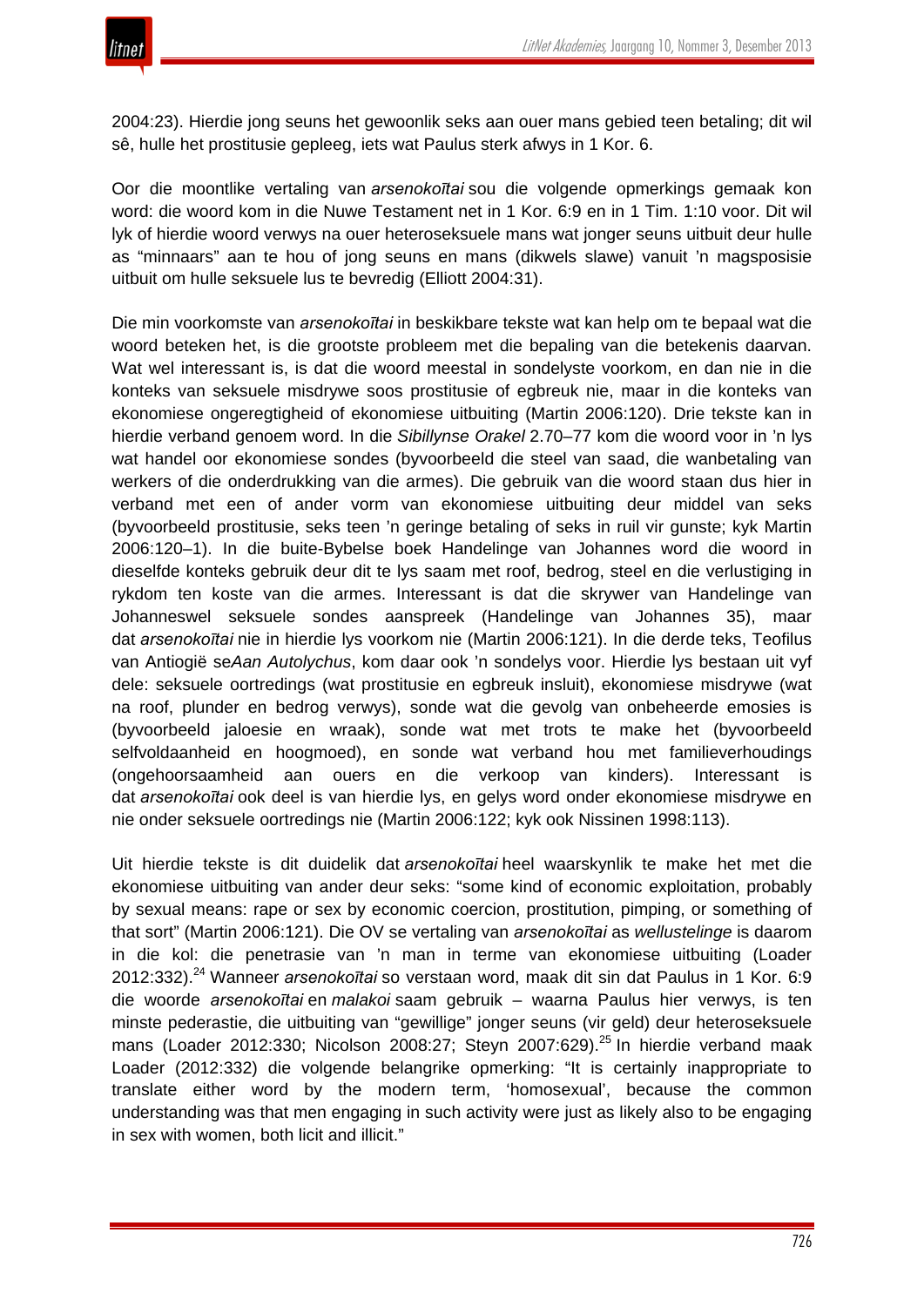2004:23). Hierdie jong seuns het gewoonlik seks aan ouer mans gebied teen betaling; dit wil sê, hulle het prostitusie gepleeg, iets wat Paulus sterk afwys in 1 Kor. 6.

Oor die moontlike vertaling van *arsenokoītai* sou die volgende opmerkings gemaak kon word: die woord kom in die Nuwe Testament net in 1 Kor. 6:9 en in 1 Tim. 1:10 voor. Dit wil lyk of hierdie woord verwys na ouer heteroseksuele mans wat jonger seuns uitbuit deur hulle as "minnaars" aan te hou of jong seuns en mans (dikwels slawe) vanuit 'n magsposisie uitbuit om hulle seksuele lus te bevredig (Elliott 2004:31).

Die min voorkomste van *arsenokoītai* in beskikbare tekste wat kan help om te bepaal wat die woord beteken het, is die grootste probleem met die bepaling van die betekenis daarvan. Wat wel interessant is, is dat die woord meestal in sondelyste voorkom, en dan nie in die konteks van seksuele misdrywe soos prostitusie of egbreuk nie, maar in die konteks van ekonomiese ongeregtigheid of ekonomiese uitbuiting (Martin 2006:120). Drie tekste kan in hierdie verband genoem word. In die *Sibillynse Orakel* 2.70–77 kom die woord voor in 'n lys wat handel oor ekonomiese sondes (byvoorbeeld die steel van saad, die wanbetaling van werkers of die onderdrukking van die armes). Die gebruik van die woord staan dus hier in verband met een of ander vorm van ekonomiese uitbuiting deur middel van seks (byvoorbeeld prostitusie, seks teen 'n geringe betaling of seks in ruil vir gunste; kyk Martin 2006:120–1). In die buite-Bybelse boek Handelinge van Johannes word die woord in dieselfde konteks gebruik deur dit te lys saam met roof, bedrog, steel en die verlustiging in rykdom ten koste van die armes. Interessant is dat die skrywer van Handelinge van Johanneswel seksuele sondes aanspreek (Handelinge van Johannes 35), maar dat *arsenokoītai* nie in hierdie lys voorkom nie (Martin 2006:121). In die derde teks, Teofilus van Antiogië se*Aan Autolychus*, kom daar ook 'n sondelys voor. Hierdie lys bestaan uit vyf dele: seksuele oortredings (wat prostitusie en egbreuk insluit), ekonomiese misdrywe (wat na roof, plunder en bedrog verwys), sonde wat die gevolg van onbeheerde emosies is (byvoorbeeld jaloesie en wraak), sonde wat met trots te make het (byvoorbeeld selfvoldaanheid en hoogmoed), en sonde wat verband hou met familieverhoudings (ongehoorsaamheid aan ouers en die verkoop van kinders). Interessant is dat *arsenokoītai* ook deel is van hierdie lys, en gelys word onder ekonomiese misdrywe en nie onder seksuele oortredings nie (Martin 2006:122; kyk ook Nissinen 1998:113).

Uit hierdie tekste is dit duidelik dat *arsenokoītai* heel waarskynlik te make het met die ekonomiese uitbuiting van ander deur seks: "some kind of economic exploitation, probably by sexual means: rape or sex by economic coercion, prostitution, pimping, or something of that sort" (Martin 2006:121). Die OV se vertaling van *arsenokoītai* as *wellustelinge* is daarom in die kol: die penetrasie van 'n man in terme van ekonomiese uitbuiting (Loader 2012:332).<sup>24</sup> Wanneer *arsenokoītai* so verstaan word, maak dit sin dat Paulus in 1 Kor. 6:9 die woorde *arsenokoītai* en *malakoi* saam gebruik – waarna Paulus hier verwys, is ten minste pederastie, die uitbuiting van "gewillige" jonger seuns (vir geld) deur heteroseksuele mans (Loader 2012:330; Nicolson 2008:27; Steyn 2007:629).<sup>25</sup> In hierdie verband maak Loader (2012:332) die volgende belangrike opmerking: "It is certainly inappropriate to translate either word by the modern term, 'homosexual', because the common understanding was that men engaging in such activity were just as likely also to be engaging in sex with women, both licit and illicit."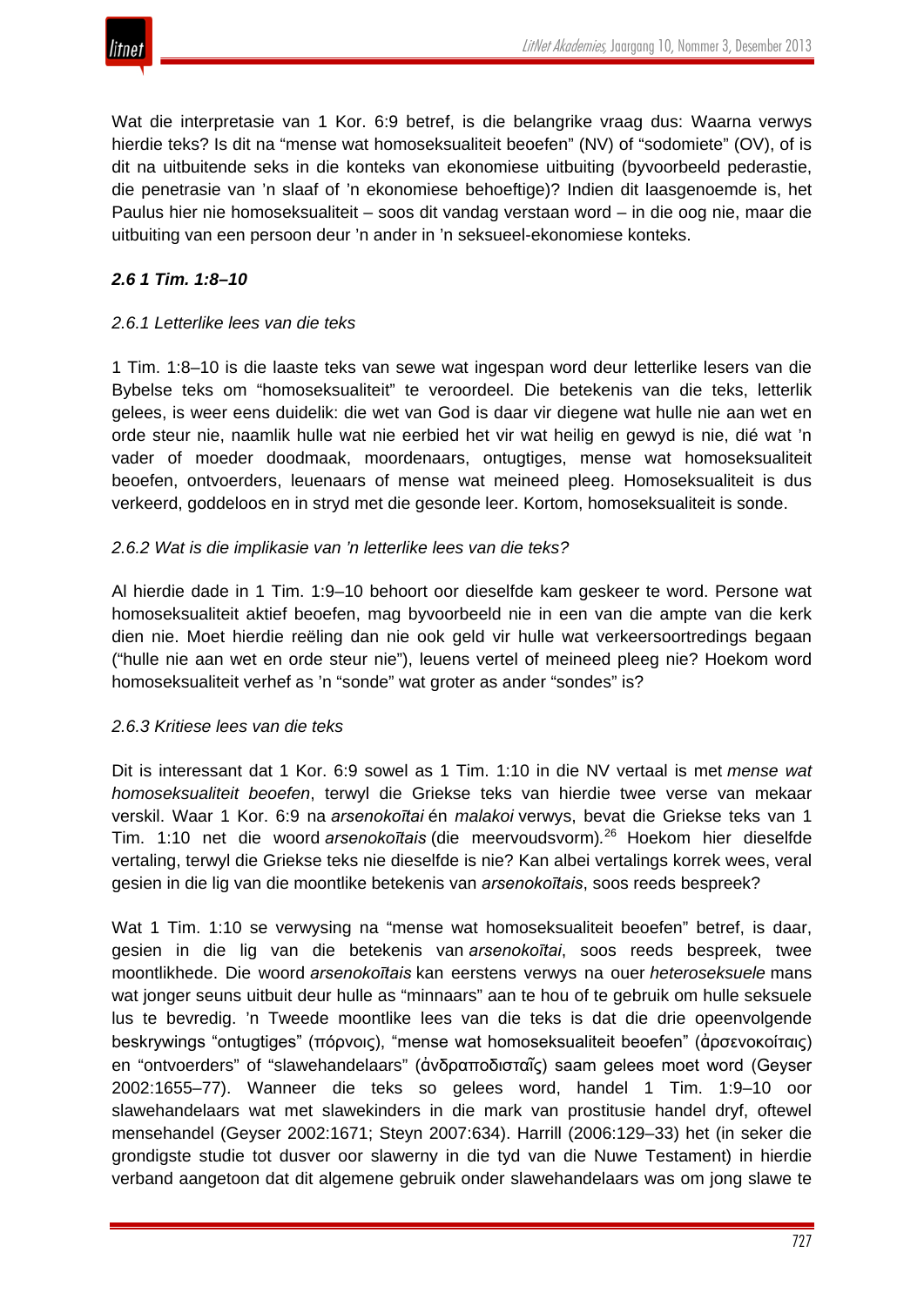

Wat die interpretasie van 1 Kor. 6:9 betref, is die belangrike vraag dus: Waarna verwys hierdie teks? Is dit na "mense wat homoseksualiteit beoefen" (NV) of "sodomiete" (OV), of is dit na uitbuitende seks in die konteks van ekonomiese uitbuiting (byvoorbeeld pederastie, die penetrasie van 'n slaaf of 'n ekonomiese behoeftige)? Indien dit laasgenoemde is, het Paulus hier nie homoseksualiteit – soos dit vandag verstaan word – in die oog nie, maar die uitbuiting van een persoon deur 'n ander in 'n seksueel-ekonomiese konteks.

# *2.6 1 Tim. 1:8–10*

# *2.6.1 Letterlike lees van die teks*

1 Tim. 1:8–10 is die laaste teks van sewe wat ingespan word deur letterlike lesers van die Bybelse teks om "homoseksualiteit" te veroordeel. Die betekenis van die teks, letterlik gelees, is weer eens duidelik: die wet van God is daar vir diegene wat hulle nie aan wet en orde steur nie, naamlik hulle wat nie eerbied het vir wat heilig en gewyd is nie, dié wat 'n vader of moeder doodmaak, moordenaars, ontugtiges, mense wat homoseksualiteit beoefen, ontvoerders, leuenaars of mense wat meineed pleeg. Homoseksualiteit is dus verkeerd, goddeloos en in stryd met die gesonde leer. Kortom, homoseksualiteit is sonde.

## *2.6.2 Wat is die implikasie van 'n letterlike lees van die teks?*

Al hierdie dade in 1 Tim. 1:9–10 behoort oor dieselfde kam geskeer te word. Persone wat homoseksualiteit aktief beoefen, mag byvoorbeeld nie in een van die ampte van die kerk dien nie. Moet hierdie reëling dan nie ook geld vir hulle wat verkeersoortredings begaan ("hulle nie aan wet en orde steur nie"), leuens vertel of meineed pleeg nie? Hoekom word homoseksualiteit verhef as 'n "sonde" wat groter as ander "sondes" is?

#### *2.6.3 Kritiese lees van die teks*

Dit is interessant dat 1 Kor. 6:9 sowel as 1 Tim. 1:10 in die NV vertaal is met *mense wat homoseksualiteit beoefen*, terwyl die Griekse teks van hierdie twee verse van mekaar verskil. Waar 1 Kor. 6:9 na *arsenokoītai* én *malakoi* verwys, bevat die Griekse teks van 1 Tim. 1:10 net die woord *arsenokoītais* (die meervoudsvorm)*.* <sup>26</sup> Hoekom hier dieselfde vertaling, terwyl die Griekse teks nie dieselfde is nie? Kan albei vertalings korrek wees, veral gesien in die lig van die moontlike betekenis van *arsenokoītais*, soos reeds bespreek?

Wat 1 Tim. 1:10 se verwysing na "mense wat homoseksualiteit beoefen" betref, is daar, gesien in die lig van die betekenis van *arsenokoītai*, soos reeds bespreek, twee moontlikhede. Die woord *arsenokoītais* kan eerstens verwys na ouer *heteroseksuele* mans wat jonger seuns uitbuit deur hulle as "minnaars" aan te hou of te gebruik om hulle seksuele lus te bevredig. 'n Tweede moontlike lees van die teks is dat die drie opeenvolgende beskrywings "ontugtiges" (πόρνοις), "mense wat homoseksualiteit beoefen" (ἀρσενοκοίταις) en "ontvoerders" of "slawehandelaars" (ἀνδραποδισταῖς) saam gelees moet word (Geyser 2002:1655–77). Wanneer die teks so gelees word, handel 1 Tim. 1:9–10 oor slawehandelaars wat met slawekinders in die mark van prostitusie handel dryf, oftewel mensehandel (Geyser 2002:1671; Steyn 2007:634). Harrill (2006:129–33) het (in seker die grondigste studie tot dusver oor slawerny in die tyd van die Nuwe Testament) in hierdie verband aangetoon dat dit algemene gebruik onder slawehandelaars was om jong slawe te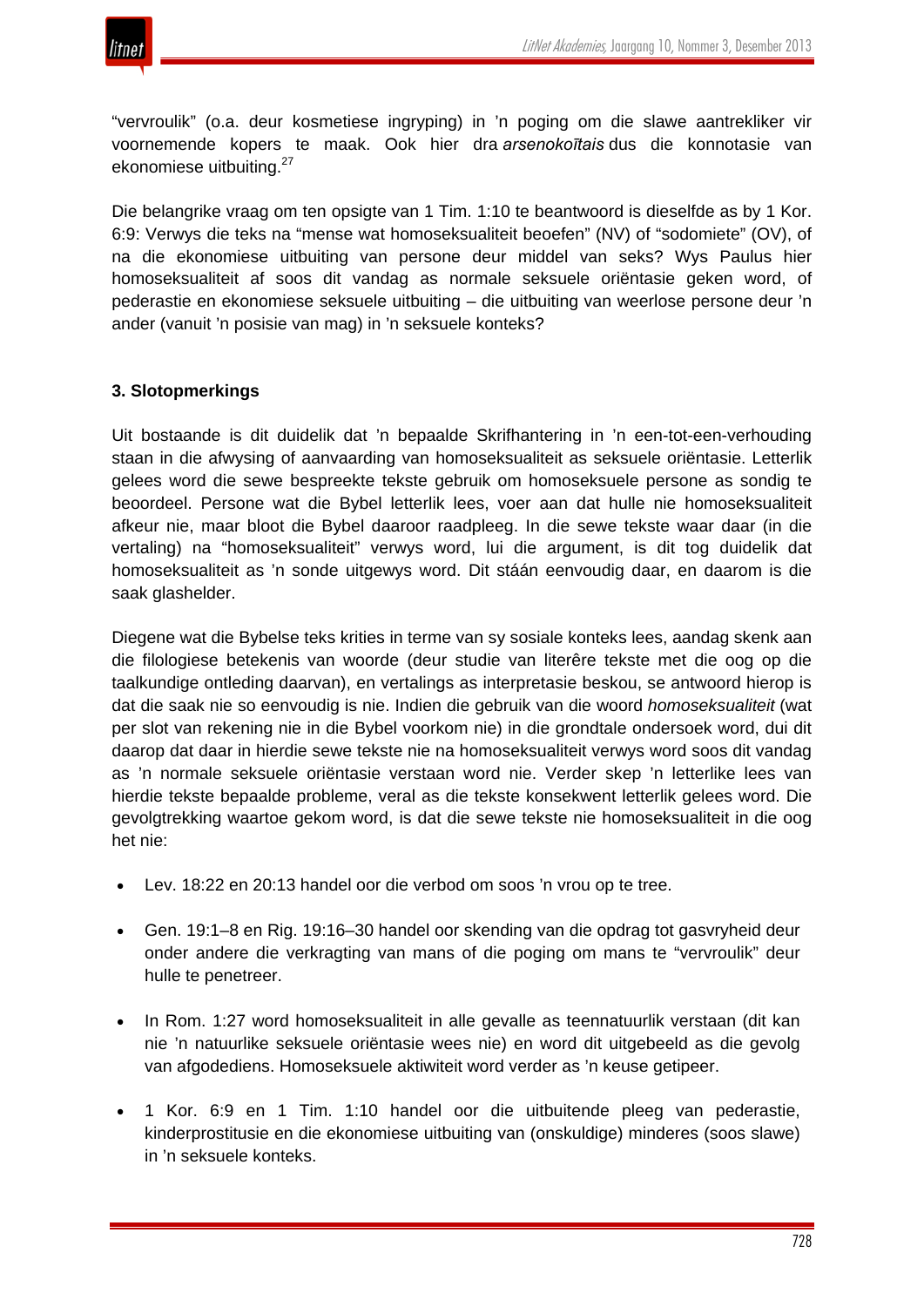

"vervroulik" (o.a. deur kosmetiese ingryping) in 'n poging om die slawe aantrekliker vir voornemende kopers te maak. Ook hier dra *arsenokoītais* dus die konnotasie van ekonomiese uitbuiting.<sup>27</sup>

Die belangrike vraag om ten opsigte van 1 Tim. 1:10 te beantwoord is dieselfde as by 1 Kor. 6:9: Verwys die teks na "mense wat homoseksualiteit beoefen" (NV) of "sodomiete" (OV), of na die ekonomiese uitbuiting van persone deur middel van seks? Wys Paulus hier homoseksualiteit af soos dit vandag as normale seksuele oriëntasie geken word, of pederastie en ekonomiese seksuele uitbuiting – die uitbuiting van weerlose persone deur 'n ander (vanuit 'n posisie van mag) in 'n seksuele konteks?

# **3. Slotopmerkings**

Uit bostaande is dit duidelik dat 'n bepaalde Skrifhantering in 'n een-tot-een-verhouding staan in die afwysing of aanvaarding van homoseksualiteit as seksuele oriëntasie. Letterlik gelees word die sewe bespreekte tekste gebruik om homoseksuele persone as sondig te beoordeel. Persone wat die Bybel letterlik lees, voer aan dat hulle nie homoseksualiteit afkeur nie, maar bloot die Bybel daaroor raadpleeg. In die sewe tekste waar daar (in die vertaling) na "homoseksualiteit" verwys word, lui die argument, is dit tog duidelik dat homoseksualiteit as 'n sonde uitgewys word. Dit stáán eenvoudig daar, en daarom is die saak glashelder.

Diegene wat die Bybelse teks krities in terme van sy sosiale konteks lees, aandag skenk aan die filologiese betekenis van woorde (deur studie van literêre tekste met die oog op die taalkundige ontleding daarvan), en vertalings as interpretasie beskou, se antwoord hierop is dat die saak nie so eenvoudig is nie. Indien die gebruik van die woord *homoseksualiteit* (wat per slot van rekening nie in die Bybel voorkom nie) in die grondtale ondersoek word, dui dit daarop dat daar in hierdie sewe tekste nie na homoseksualiteit verwys word soos dit vandag as 'n normale seksuele oriëntasie verstaan word nie. Verder skep 'n letterlike lees van hierdie tekste bepaalde probleme, veral as die tekste konsekwent letterlik gelees word. Die gevolgtrekking waartoe gekom word, is dat die sewe tekste nie homoseksualiteit in die oog het nie:

- Lev. 18:22 en 20:13 handel oor die verbod om soos 'n vrou op te tree.
- Gen. 19:1–8 en Rig. 19:16–30 handel oor skending van die opdrag tot gasvryheid deur onder andere die verkragting van mans of die poging om mans te "vervroulik" deur hulle te penetreer.
- In Rom. 1:27 word homoseksualiteit in alle gevalle as teennatuurlik verstaan (dit kan nie 'n natuurlike seksuele oriëntasie wees nie) en word dit uitgebeeld as die gevolg van afgodediens. Homoseksuele aktiwiteit word verder as 'n keuse getipeer.
- 1 Kor. 6:9 en 1 Tim. 1:10 handel oor die uitbuitende pleeg van pederastie, kinderprostitusie en die ekonomiese uitbuiting van (onskuldige) minderes (soos slawe) in 'n seksuele konteks.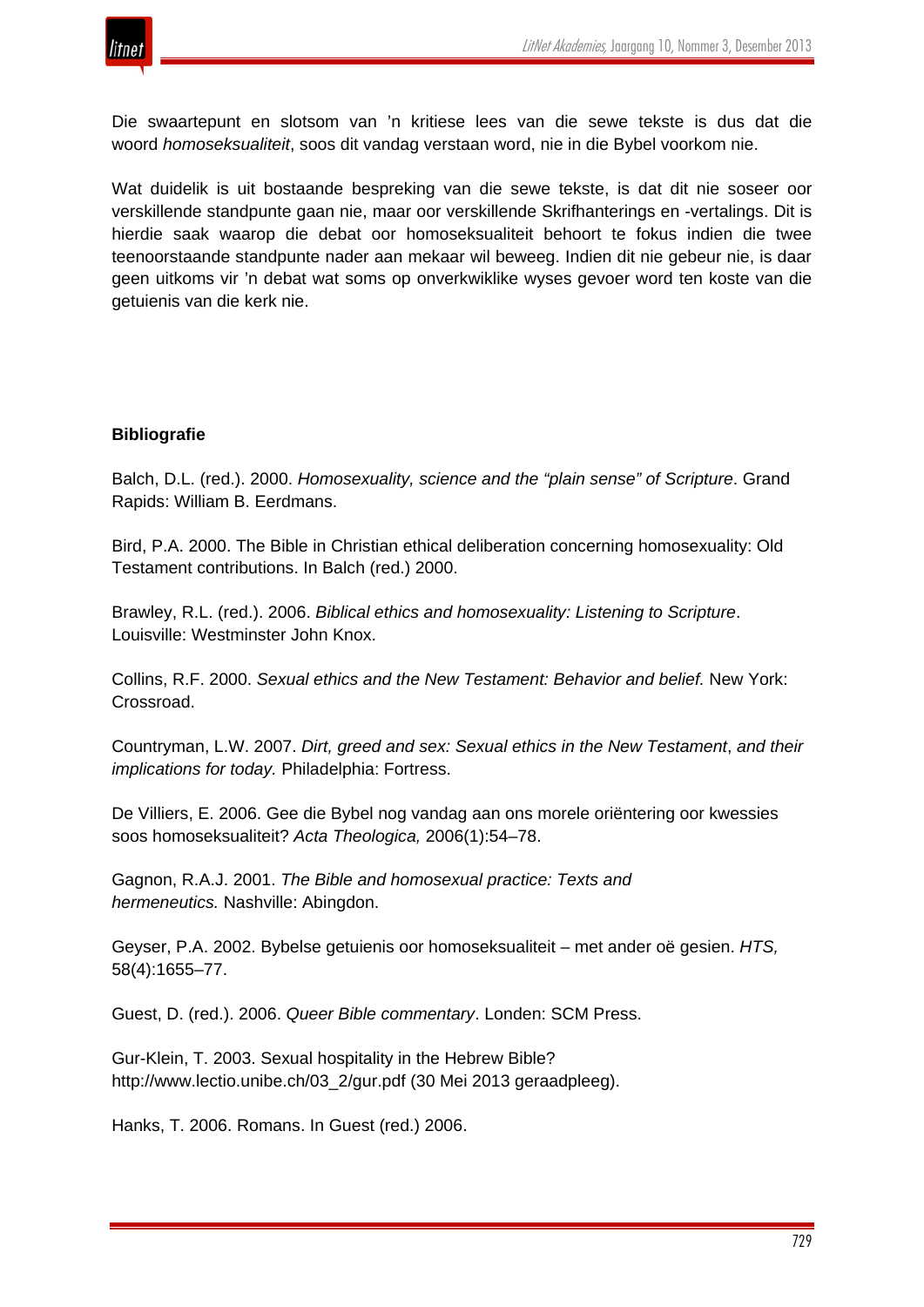



Die swaartepunt en slotsom van 'n kritiese lees van die sewe tekste is dus dat die woord *homoseksualiteit*, soos dit vandag verstaan word, nie in die Bybel voorkom nie.

Wat duidelik is uit bostaande bespreking van die sewe tekste, is dat dit nie soseer oor verskillende standpunte gaan nie, maar oor verskillende Skrifhanterings en -vertalings. Dit is hierdie saak waarop die debat oor homoseksualiteit behoort te fokus indien die twee teenoorstaande standpunte nader aan mekaar wil beweeg. Indien dit nie gebeur nie, is daar geen uitkoms vir 'n debat wat soms op onverkwiklike wyses gevoer word ten koste van die getuienis van die kerk nie.

# **Bibliografie**

Balch, D.L. (red.). 2000. *Homosexuality, science and the "plain sense" of Scripture*. Grand Rapids: William B. Eerdmans.

Bird, P.A. 2000. The Bible in Christian ethical deliberation concerning homosexuality: Old Testament contributions. In Balch (red.) 2000.

Brawley, R.L. (red.). 2006. *Biblical ethics and homosexuality: Listening to Scripture*. Louisville: Westminster John Knox.

Collins, R.F. 2000. *Sexual ethics and the New Testament: Behavior and belief.* New York: Crossroad.

Countryman, L.W. 2007. *Dirt, greed and sex: Sexual ethics in the New Testament*, *and their implications for today.* Philadelphia: Fortress.

De Villiers, E. 2006. Gee die Bybel nog vandag aan ons morele oriëntering oor kwessies soos homoseksualiteit? *Acta Theologica,* 2006(1):54–78.

Gagnon, R.A.J. 2001. *The Bible and homosexual practice: Texts and hermeneutics.* Nashville: Abingdon.

Geyser, P.A. 2002. Bybelse getuienis oor homoseksualiteit – met ander oë gesien. *HTS,* 58(4):1655–77.

Guest, D. (red.). 2006. *Queer Bible commentary*. Londen: SCM Press.

Gur-Klein, T. 2003. Sexual hospitality in the Hebrew Bible? http://www.lectio.unibe.ch/03\_2/gur.pdf (30 Mei 2013 geraadpleeg).

Hanks, T. 2006. Romans. In Guest (red.) 2006.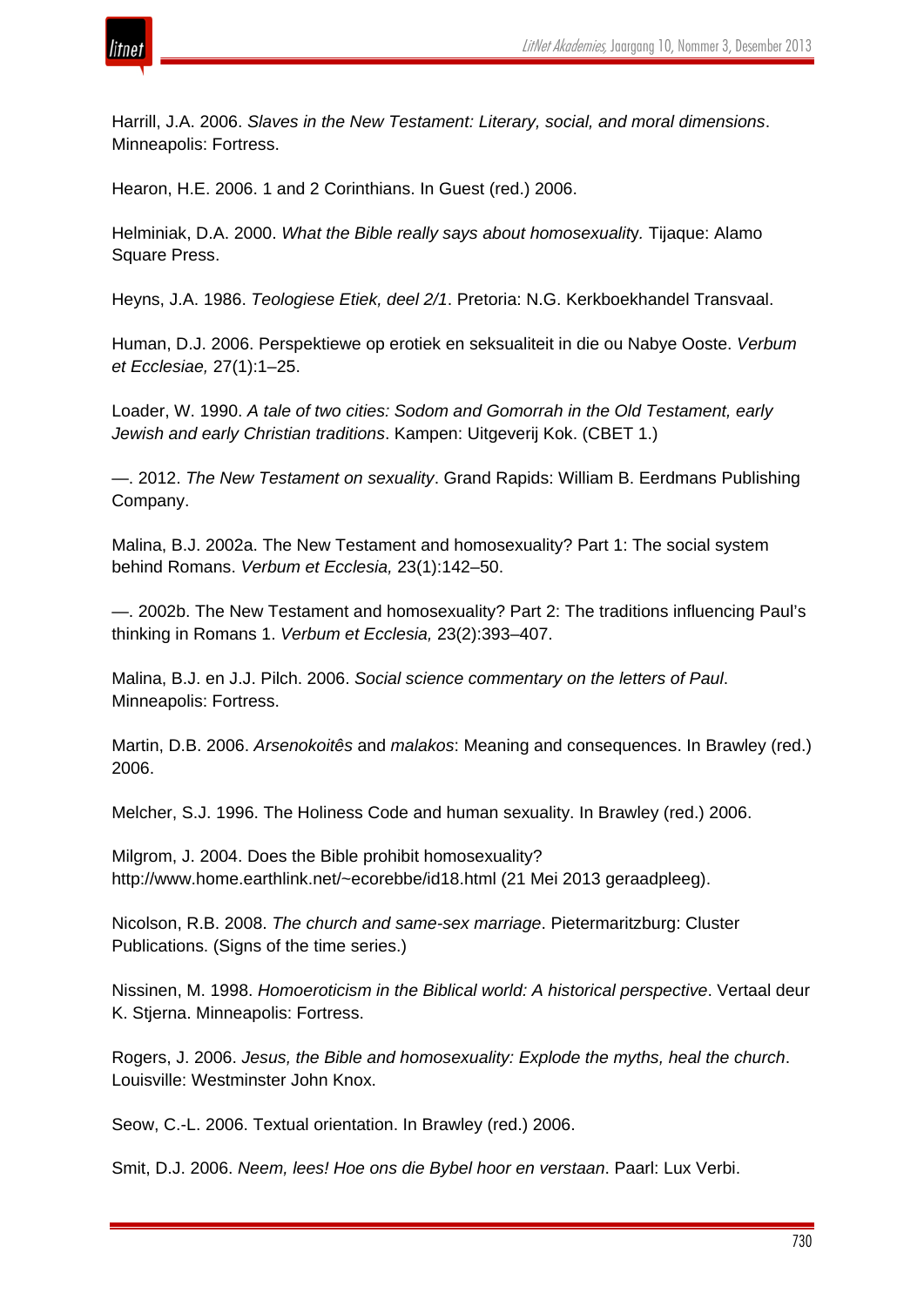

Harrill, J.A. 2006. *Slaves in the New Testament: Literary, social, and moral dimensions*. Minneapolis: Fortress.

Hearon, H.E. 2006. 1 and 2 Corinthians. In Guest (red.) 2006.

Helminiak, D.A. 2000. *What the Bible really says about homosexualit*y*.* Tijaque: Alamo Square Press.

Heyns, J.A. 1986. *Teologiese Etiek, deel 2/1*. Pretoria: N.G. Kerkboekhandel Transvaal.

Human, D.J. 2006. Perspektiewe op erotiek en seksualiteit in die ou Nabye Ooste. *Verbum et Ecclesiae,* 27(1):1–25.

Loader, W. 1990. *A tale of two cities: Sodom and Gomorrah in the Old Testament, early Jewish and early Christian traditions*. Kampen: Uitgeverij Kok. (CBET 1.)

—. 2012. *The New Testament on sexuality*. Grand Rapids: William B. Eerdmans Publishing Company.

Malina, B.J. 2002a. The New Testament and homosexuality? Part 1: The social system behind Romans. *Verbum et Ecclesia,* 23(1):142–50.

—. 2002b. The New Testament and homosexuality? Part 2: The traditions influencing Paul's thinking in Romans 1. *Verbum et Ecclesia,* 23(2):393–407.

Malina, B.J. en J.J. Pilch. 2006. *Social science commentary on the letters of Paul*. Minneapolis: Fortress.

Martin, D.B. 2006. *Arsenokoitês* and *malakos*: Meaning and consequences. In Brawley (red.) 2006.

Melcher, S.J. 1996. The Holiness Code and human sexuality. In Brawley (red.) 2006.

Milgrom, J. 2004. Does the Bible prohibit homosexuality? http://www.home.earthlink.net/~ecorebbe/id18.html (21 Mei 2013 geraadpleeg).

Nicolson, R.B. 2008. *The church and same-sex marriage*. Pietermaritzburg: Cluster Publications. (Signs of the time series.)

Nissinen, M. 1998. *Homoeroticism in the Biblical world: A historical perspective*. Vertaal deur K. Stjerna. Minneapolis: Fortress.

Rogers, J. 2006. *Jesus, the Bible and homosexuality: Explode the myths, heal the church*. Louisville: Westminster John Knox.

Seow, C.-L. 2006. Textual orientation. In Brawley (red.) 2006.

Smit, D.J. 2006. *Neem, lees! Hoe ons die Bybel hoor en verstaan*. Paarl: Lux Verbi.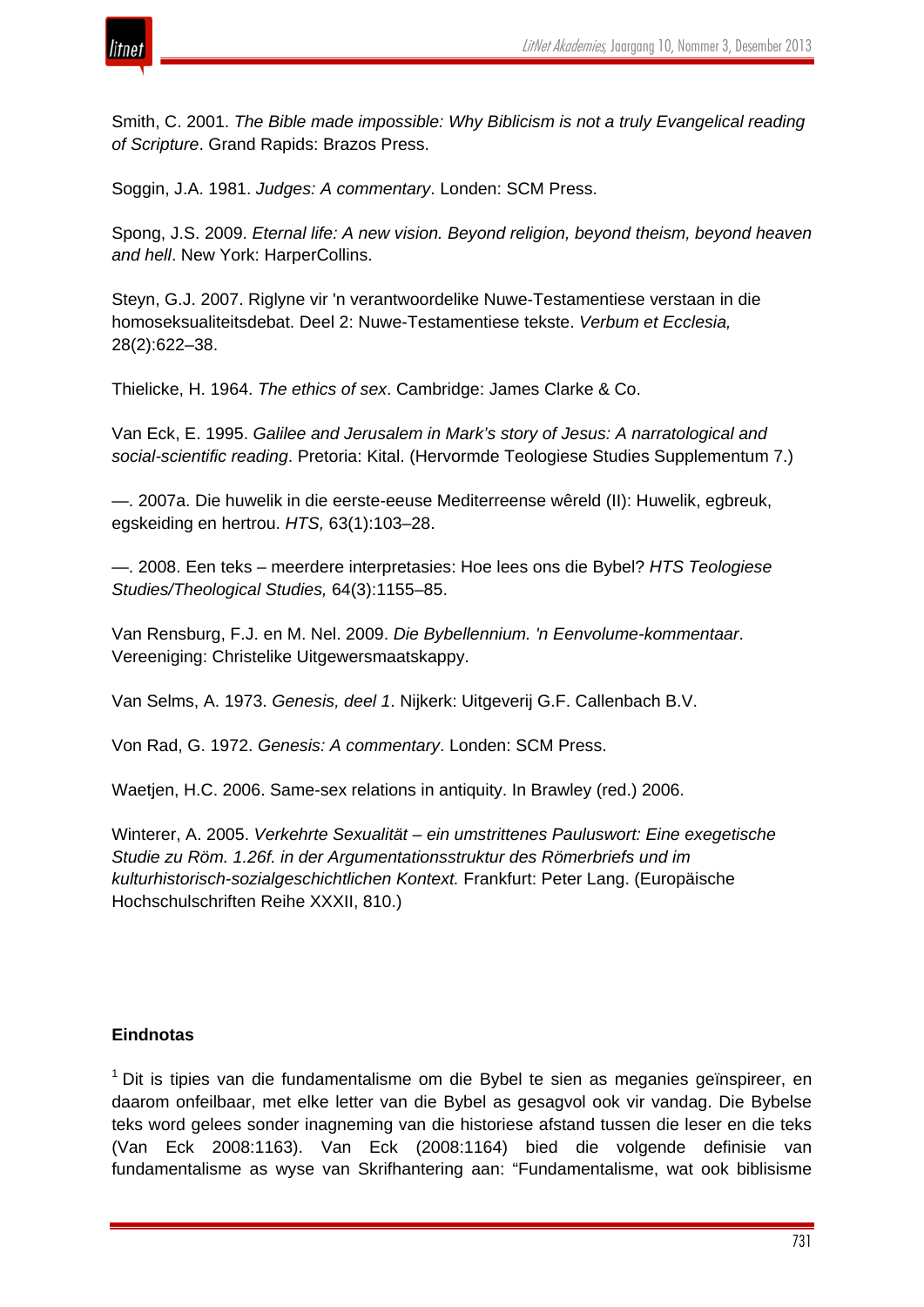

Smith, C. 2001. *The Bible made impossible: Why Biblicism is not a truly Evangelical reading of Scripture*. Grand Rapids: Brazos Press.

Soggin, J.A. 1981. *Judges: A commentary*. Londen: SCM Press.

Spong, J.S. 2009. *Eternal life: A new vision. Beyond religion, beyond theism, beyond heaven and hell*. New York: HarperCollins.

Steyn, G.J. 2007. Riglyne vir 'n verantwoordelike Nuwe-Testamentiese verstaan in die homoseksualiteitsdebat. Deel 2: Nuwe-Testamentiese tekste. *Verbum et Ecclesia,* 28(2):622–38.

Thielicke, H. 1964. *The ethics of sex*. Cambridge: James Clarke & Co.

Van Eck, E. 1995. *Galilee and Jerusalem in Mark's story of Jesus: A narratological and social-scientific reading*. Pretoria: Kital. (Hervormde Teologiese Studies Supplementum 7.)

—. 2007a. Die huwelik in die eerste-eeuse Mediterreense wêreld (II): Huwelik, egbreuk, egskeiding en hertrou. *HTS,* 63(1):103–28.

—. 2008. Een teks – meerdere interpretasies: Hoe lees ons die Bybel? *HTS Teologiese Studies/Theological Studies,* 64(3):1155–85.

Van Rensburg, F.J. en M. Nel. 2009. *Die Bybellennium. 'n Eenvolume-kommentaar*. Vereeniging: Christelike Uitgewersmaatskappy.

Van Selms, A. 1973. *Genesis, deel 1*. Nijkerk: Uitgeverij G.F. Callenbach B.V.

Von Rad, G. 1972. *Genesis: A commentary*. Londen: SCM Press.

Waetjen, H.C. 2006. Same-sex relations in antiquity. In Brawley (red.) 2006.

Winterer, A. 2005. *Verkehrte Sexualität – ein umstrittenes Pauluswort: Eine exegetische Studie zu Röm. 1.26f. in der Argumentationsstruktur des Römerbriefs und im kulturhistorisch-sozialgeschichtlichen Kontext.* Frankfurt: Peter Lang. (Europäische Hochschulschriften Reihe XXXII, 810.)

# **Eindnotas**

 $1$  Dit is tipies van die fundamentalisme om die Bybel te sien as meganies geïnspireer, en daarom onfeilbaar, met elke letter van die Bybel as gesagvol ook vir vandag. Die Bybelse teks word gelees sonder inagneming van die historiese afstand tussen die leser en die teks (Van Eck 2008:1163). Van Eck (2008:1164) bied die volgende definisie van fundamentalisme as wyse van Skrifhantering aan: "Fundamentalisme, wat ook biblisisme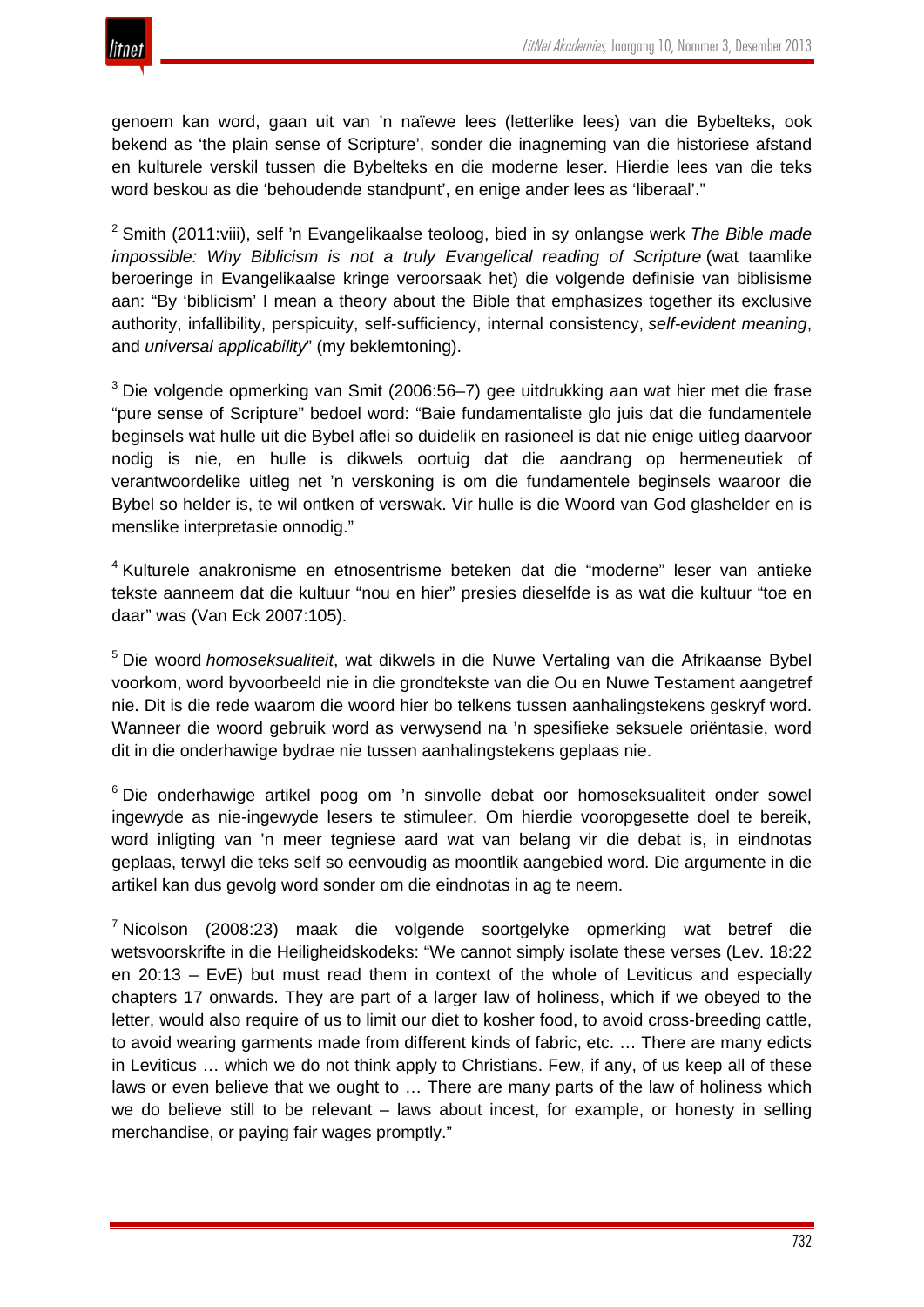

genoem kan word, gaan uit van 'n naïewe lees (letterlike lees) van die Bybelteks, ook bekend as 'the plain sense of Scripture', sonder die inagneming van die historiese afstand en kulturele verskil tussen die Bybelteks en die moderne leser. Hierdie lees van die teks word beskou as die 'behoudende standpunt', en enige ander lees as 'liberaal'."

<sup>2</sup> Smith (2011:viii), self 'n Evangelikaalse teoloog, bied in sy onlangse werk *The Bible made impossible: Why Biblicism is not a truly Evangelical reading of Scripture* (wat taamlike beroeringe in Evangelikaalse kringe veroorsaak het) die volgende definisie van biblisisme aan: "By 'biblicism' I mean a theory about the Bible that emphasizes together its exclusive authority, infallibility, perspicuity, self-sufficiency, internal consistency, *self-evident meaning*, and *universal applicability*" (my beklemtoning).

<sup>3</sup> Die volgende opmerking van Smit (2006:56–7) gee uitdrukking aan wat hier met die frase "pure sense of Scripture" bedoel word: "Baie fundamentaliste glo juis dat die fundamentele beginsels wat hulle uit die Bybel aflei so duidelik en rasioneel is dat nie enige uitleg daarvoor nodig is nie, en hulle is dikwels oortuig dat die aandrang op hermeneutiek of verantwoordelike uitleg net 'n verskoning is om die fundamentele beginsels waaroor die Bybel so helder is, te wil ontken of verswak. Vir hulle is die Woord van God glashelder en is menslike interpretasie onnodig."

<sup>4</sup> Kulturele anakronisme en etnosentrisme beteken dat die "moderne" leser van antieke tekste aanneem dat die kultuur "nou en hier" presies dieselfde is as wat die kultuur "toe en daar" was (Van Eck 2007:105).

<sup>5</sup> Die woord *homoseksualiteit*, wat dikwels in die Nuwe Vertaling van die Afrikaanse Bybel voorkom, word byvoorbeeld nie in die grondtekste van die Ou en Nuwe Testament aangetref nie. Dit is die rede waarom die woord hier bo telkens tussen aanhalingstekens geskryf word. Wanneer die woord gebruik word as verwysend na 'n spesifieke seksuele oriëntasie, word dit in die onderhawige bydrae nie tussen aanhalingstekens geplaas nie.

<sup>6</sup> Die onderhawige artikel poog om 'n sinvolle debat oor homoseksualiteit onder sowel ingewyde as nie-ingewyde lesers te stimuleer. Om hierdie vooropgesette doel te bereik, word inligting van 'n meer tegniese aard wat van belang vir die debat is, in eindnotas geplaas, terwyl die teks self so eenvoudig as moontlik aangebied word. Die argumente in die artikel kan dus gevolg word sonder om die eindnotas in ag te neem.

<sup>7</sup> Nicolson (2008:23) maak die volgende soortgelyke opmerking wat betref die wetsvoorskrifte in die Heiligheidskodeks: "We cannot simply isolate these verses (Lev. 18:22 en 20:13 – EvE) but must read them in context of the whole of Leviticus and especially chapters 17 onwards. They are part of a larger law of holiness, which if we obeyed to the letter, would also require of us to limit our diet to kosher food, to avoid cross-breeding cattle, to avoid wearing garments made from different kinds of fabric, etc. … There are many edicts in Leviticus … which we do not think apply to Christians. Few, if any, of us keep all of these laws or even believe that we ought to … There are many parts of the law of holiness which we do believe still to be relevant – laws about incest, for example, or honesty in selling merchandise, or paying fair wages promptly."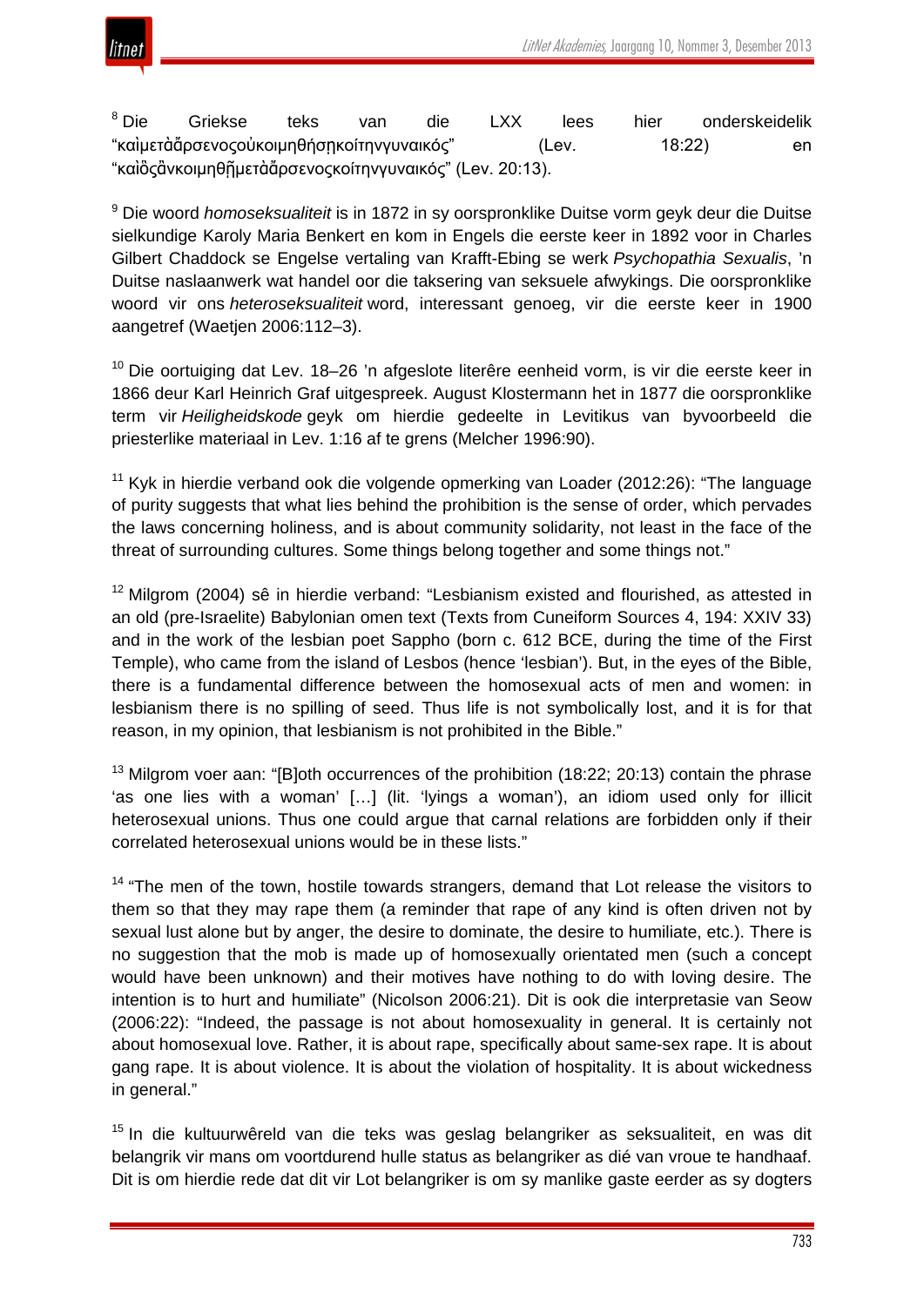

<sup>8</sup> Die Griekse teks van die LXX lees hier onderskeidelik "καὶμετὰἄρσενοςοὐκοιμηθήσῃκοίτηνγυναικός" (Lev. 18:22) en "καὶὃςἂνκοιμηθῇμετὰἄρσενοςκοίτηνγυναικός" (Lev. 20:13).

<sup>9</sup> Die woord *homoseksualiteit* is in 1872 in sy oorspronklike Duitse vorm geyk deur die Duitse sielkundige Karoly Maria Benkert en kom in Engels die eerste keer in 1892 voor in Charles Gilbert Chaddock se Engelse vertaling van Krafft-Ebing se werk *Psychopathia Sexualis*, 'n Duitse naslaanwerk wat handel oor die taksering van seksuele afwykings. Die oorspronklike woord vir ons *heteroseksualiteit* word, interessant genoeg, vir die eerste keer in 1900 aangetref (Waetjen 2006:112–3).

<sup>10</sup> Die oortuiging dat Lev. 18–26 'n afgeslote literêre eenheid vorm, is vir die eerste keer in 1866 deur Karl Heinrich Graf uitgespreek. August Klostermann het in 1877 die oorspronklike term vir *Heiligheidskode* geyk om hierdie gedeelte in Levitikus van byvoorbeeld die priesterlike materiaal in Lev. 1:16 af te grens (Melcher 1996:90).

 $11$  Kyk in hierdie verband ook die volgende opmerking van Loader (2012:26): "The language of purity suggests that what lies behind the prohibition is the sense of order, which pervades the laws concerning holiness, and is about community solidarity, not least in the face of the threat of surrounding cultures. Some things belong together and some things not."

 $12$  Milgrom (2004) sê in hierdie verband: "Lesbianism existed and flourished, as attested in an old (pre-Israelite) Babylonian omen text (Texts from Cuneiform Sources 4, 194: XXIV 33) and in the work of the lesbian poet Sappho (born c. 612 BCE, during the time of the First Temple), who came from the island of Lesbos (hence 'lesbian'). But, in the eyes of the Bible, there is a fundamental difference between the homosexual acts of men and women: in lesbianism there is no spilling of seed. Thus life is not symbolically lost, and it is for that reason, in my opinion, that lesbianism is not prohibited in the Bible."

 $13$  Milgrom voer aan: "[B]oth occurrences of the prohibition (18:22; 20:13) contain the phrase 'as one lies with a woman' […] (lit. 'lyings a woman'), an idiom used only for illicit heterosexual unions. Thus one could argue that carnal relations are forbidden only if their correlated heterosexual unions would be in these lists."

 $14$  "The men of the town, hostile towards strangers, demand that Lot release the visitors to them so that they may rape them (a reminder that rape of any kind is often driven not by sexual lust alone but by anger, the desire to dominate, the desire to humiliate, etc.). There is no suggestion that the mob is made up of homosexually orientated men (such a concept would have been unknown) and their motives have nothing to do with loving desire. The intention is to hurt and humiliate" (Nicolson 2006:21). Dit is ook die interpretasie van Seow (2006:22): "Indeed, the passage is not about homosexuality in general. It is certainly not about homosexual love. Rather, it is about rape, specifically about same-sex rape. It is about gang rape. It is about violence. It is about the violation of hospitality. It is about wickedness in general."

<sup>15</sup> In die kultuurwêreld van die teks was geslag belangriker as seksualiteit, en was dit belangrik vir mans om voortdurend hulle status as belangriker as dié van vroue te handhaaf. Dit is om hierdie rede dat dit vir Lot belangriker is om sy manlike gaste eerder as sy dogters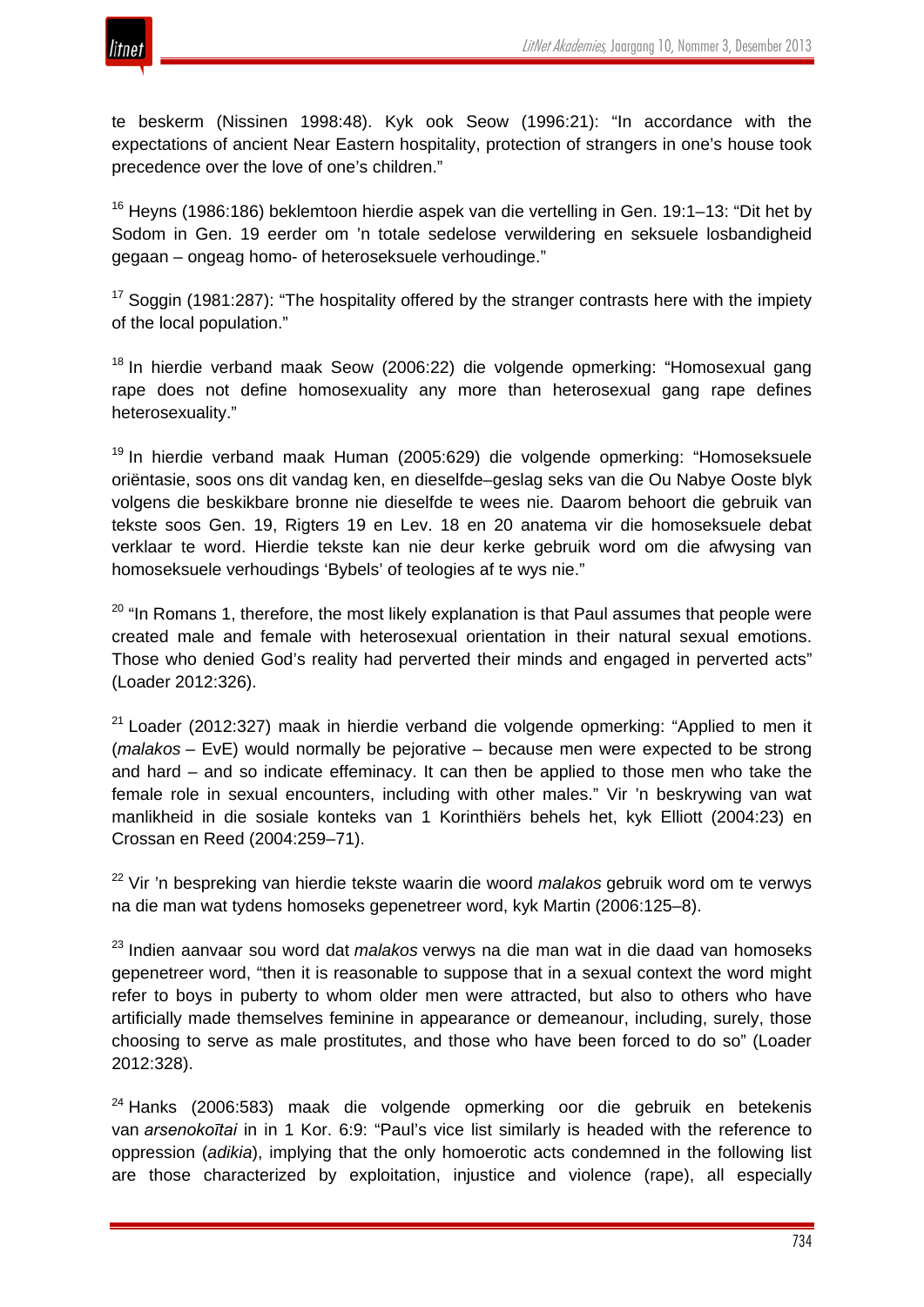

te beskerm (Nissinen 1998:48). Kyk ook Seow (1996:21): "In accordance with the expectations of ancient Near Eastern hospitality, protection of strangers in one's house took precedence over the love of one's children."

 $16$  Heyns (1986:186) beklemtoon hierdie aspek van die vertelling in Gen. 19:1–13: "Dit het by Sodom in Gen. 19 eerder om 'n totale sedelose verwildering en seksuele losbandigheid gegaan – ongeag homo- of heteroseksuele verhoudinge."

<sup>17</sup> Soggin (1981:287): "The hospitality offered by the stranger contrasts here with the impiety of the local population."

<sup>18</sup> In hierdie verband maak Seow (2006:22) die volgende opmerking: "Homosexual gang rape does not define homosexuality any more than heterosexual gang rape defines heterosexuality."

<sup>19</sup> In hierdie verband maak Human (2005:629) die volgende opmerking: "Homoseksuele oriëntasie, soos ons dit vandag ken, en dieselfde–geslag seks van die Ou Nabye Ooste blyk volgens die beskikbare bronne nie dieselfde te wees nie. Daarom behoort die gebruik van tekste soos Gen. 19, Rigters 19 en Lev. 18 en 20 anatema vir die homoseksuele debat verklaar te word. Hierdie tekste kan nie deur kerke gebruik word om die afwysing van homoseksuele verhoudings 'Bybels' of teologies af te wys nie."

 $20$  "In Romans 1, therefore, the most likely explanation is that Paul assumes that people were created male and female with heterosexual orientation in their natural sexual emotions. Those who denied God's reality had perverted their minds and engaged in perverted acts" (Loader 2012:326).

 $21$  Loader (2012:327) maak in hierdie verband die volgende opmerking: "Applied to men it (*malakos* – EvE) would normally be pejorative – because men were expected to be strong and hard – and so indicate effeminacy. It can then be applied to those men who take the female role in sexual encounters, including with other males." Vir 'n beskrywing van wat manlikheid in die sosiale konteks van 1 Korinthiërs behels het, kyk Elliott (2004:23) en Crossan en Reed (2004:259–71).

<sup>22</sup> Vir 'n bespreking van hierdie tekste waarin die woord *malakos* gebruik word om te verwys na die man wat tydens homoseks gepenetreer word, kyk Martin (2006:125–8).

<sup>23</sup> Indien aanvaar sou word dat *malakos* verwys na die man wat in die daad van homoseks gepenetreer word, "then it is reasonable to suppose that in a sexual context the word might refer to boys in puberty to whom older men were attracted, but also to others who have artificially made themselves feminine in appearance or demeanour, including, surely, those choosing to serve as male prostitutes, and those who have been forced to do so" (Loader 2012:328).

 $24$  Hanks (2006:583) maak die volgende opmerking oor die gebruik en betekenis van *arsenokoītai* in in 1 Kor. 6:9: "Paul's vice list similarly is headed with the reference to oppression (*adikia*), implying that the only homoerotic acts condemned in the following list are those characterized by exploitation, injustice and violence (rape), all especially